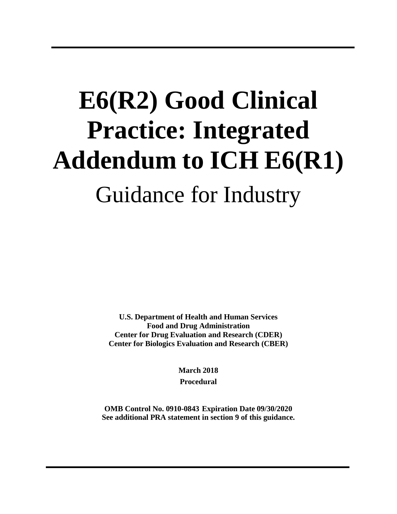# **E6(R2) Good Clinical Practice: Integrated Addendum to ICH E6(R1)** Guidance for Industry

**U.S. Department of Health and Human Services Food and Drug Administration Center for Drug Evaluation and Research (CDER) Center for Biologics Evaluation and Research (CBER)**

> **March 2018 Procedural**

**OMB Control No. 0910-0843 Expiration Date 09/30/2020 See additional PRA statement in section 9 of this guidance.**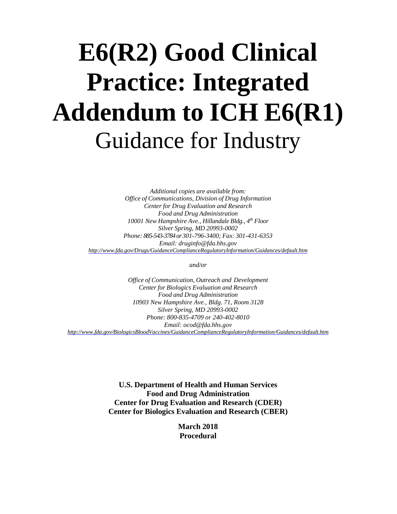# **E6(R2) Good Clinical Practice: Integrated Addendum to ICH E6(R1)** Guidance for Industry

*Additional copies are available from: Office of Communications, Division of Drug Information Center for Drug Evaluation and Research Food and Drug Administration 10001 New Hampshire Ave., Hillandale Bldg., 4th Floor Silver Spring, MD 20993-0002 Phone: 885-543-3784 or 301-796-3400; Fax: 301-431-6353 Email: [druginfo@fda.hhs.gov](mailto:druginfo@fda.hhs.gov) <http://www.fda.gov/Drugs/GuidanceComplianceRegulatoryInformation/Guidances/default.htm>*

*and/or*

*Office of Communication, Outreach and Development Center for Biologics Evaluation and Research Food and Drug Administration 10903 New Hampshire Ave., Bldg. 71, Room 3128 Silver Spring, MD 20993-0002 Phone: 800-835-4709 or 240-402-8010 Email: ocod@fda.hhs.gov <http://www.fda.gov/BiologicsBloodVaccines/GuidanceComplianceRegulatoryInformation/Guidances/default.htm>*

> **U.S. Department of Health and Human Services Food and Drug Administration Center for Drug Evaluation and Research (CDER) Center for Biologics Evaluation and Research (CBER)**

> > **March 2018 Procedural**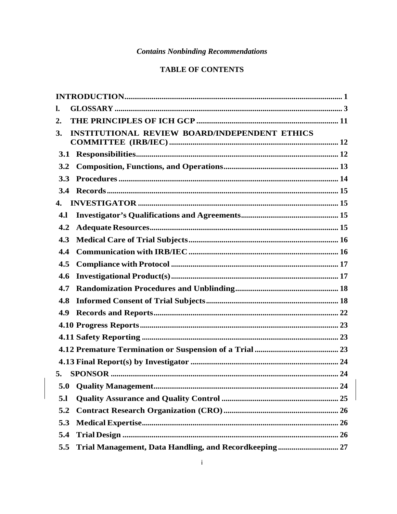## **TABLE OF CONTENTS**

| 1.  |                                                       |
|-----|-------------------------------------------------------|
| 2.  |                                                       |
| 3.  | <b>INSTITUTIONAL REVIEW BOARD/INDEPENDENT ETHICS</b>  |
|     |                                                       |
| 3.1 |                                                       |
| 3.2 |                                                       |
| 3.3 |                                                       |
| 3.4 |                                                       |
| 4.  |                                                       |
| 4.l |                                                       |
| 4.2 |                                                       |
| 4.3 |                                                       |
| 4.4 |                                                       |
| 4.5 |                                                       |
| 4.6 |                                                       |
| 4.7 |                                                       |
| 4.8 |                                                       |
| 4.9 |                                                       |
|     |                                                       |
|     |                                                       |
|     |                                                       |
|     |                                                       |
| 5.  |                                                       |
|     |                                                       |
| 5.1 |                                                       |
| 5.2 |                                                       |
| 5.3 |                                                       |
|     |                                                       |
| 5.4 |                                                       |
| 5.5 | Trial Management, Data Handling, and Recordkeeping 27 |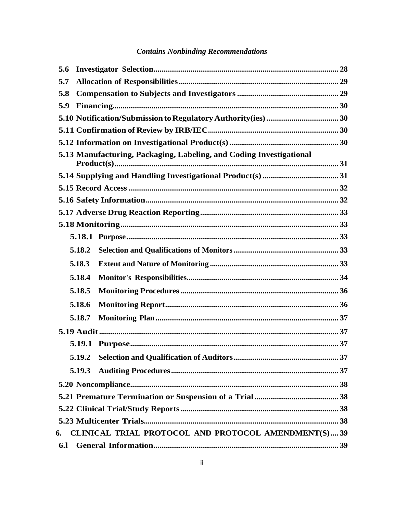| 5.6        |                                                                     |  |
|------------|---------------------------------------------------------------------|--|
| 5.7        |                                                                     |  |
| 5.8        |                                                                     |  |
| 5.9        |                                                                     |  |
|            |                                                                     |  |
|            |                                                                     |  |
|            |                                                                     |  |
|            | 5.13 Manufacturing, Packaging, Labeling, and Coding Investigational |  |
|            |                                                                     |  |
|            |                                                                     |  |
|            |                                                                     |  |
|            |                                                                     |  |
|            |                                                                     |  |
|            |                                                                     |  |
| 5.18.2     |                                                                     |  |
| 5.18.3     |                                                                     |  |
| 5.18.4     |                                                                     |  |
| 5.18.5     |                                                                     |  |
| 5.18.6     |                                                                     |  |
| 5.18.7     |                                                                     |  |
|            |                                                                     |  |
|            |                                                                     |  |
|            |                                                                     |  |
| 5.19.3     |                                                                     |  |
|            |                                                                     |  |
|            |                                                                     |  |
|            |                                                                     |  |
|            |                                                                     |  |
| 6.         | CLINICAL TRIAL PROTOCOL AND PROTOCOL AMENDMENT(S) 39                |  |
| <b>6.1</b> |                                                                     |  |
|            |                                                                     |  |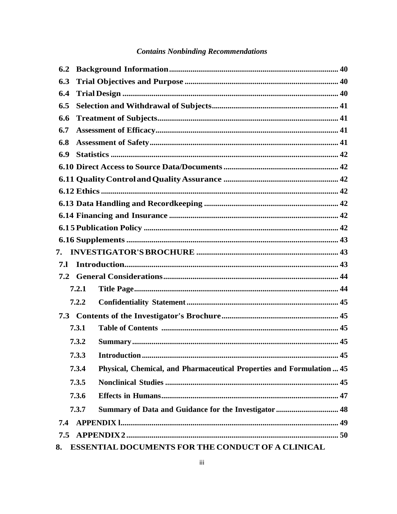| 6.2 |                                                                                |    |
|-----|--------------------------------------------------------------------------------|----|
| 6.3 |                                                                                |    |
| 6.4 |                                                                                |    |
| 6.5 |                                                                                |    |
| 6.6 |                                                                                |    |
| 6.7 |                                                                                |    |
| 6.8 |                                                                                |    |
| 6.9 |                                                                                |    |
|     |                                                                                |    |
|     |                                                                                |    |
|     |                                                                                |    |
|     |                                                                                |    |
|     |                                                                                |    |
|     |                                                                                |    |
|     |                                                                                |    |
| 7.  |                                                                                |    |
| 7.I |                                                                                |    |
|     |                                                                                |    |
|     | 7.2.1                                                                          |    |
|     | 7.2.2                                                                          |    |
|     |                                                                                |    |
|     | 7.3.1                                                                          |    |
|     | 7.3.2                                                                          |    |
|     | 7.3.3<br>Introduction                                                          | 45 |
|     | Physical, Chemical, and Pharmaceutical Properties and Formulation  45<br>7.3.4 |    |
|     | 7.3.5                                                                          |    |
|     | 7.3.6                                                                          |    |
|     | 7.3.7                                                                          |    |
| 7.4 |                                                                                |    |
| 7.5 |                                                                                |    |
| 8.  | <b>ESSENTIAL DOCUMENTS FOR THE CONDUCT OF A CLINICAL</b>                       |    |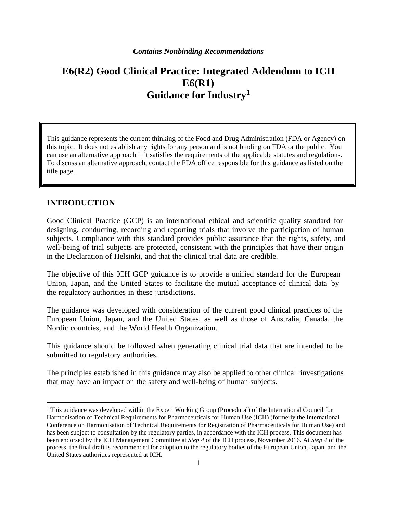## **E6(R2) Good Clinical Practice: Integrated Addendum to ICH E6(R1) Guidance for Industry[1](#page-6-1)**

This guidance represents the current thinking of the Food and Drug Administration (FDA or Agency) on this topic. It does not establish any rights for any person and is not binding on FDA or the public. You can use an alternative approach if it satisfies the requirements of the applicable statutes and regulations. To discuss an alternative approach, contact the FDA office responsible for this guidance as listed on the title page.

#### <span id="page-6-0"></span>**INTRODUCTION**

Good Clinical Practice (GCP) is an international ethical and scientific quality standard for designing, conducting, recording and reporting trials that involve the participation of human subjects. Compliance with this standard provides public assurance that the rights, safety, and well-being of trial subjects are protected, consistent with the principles that have their origin in the Declaration of Helsinki, and that the clinical trial data are credible.

The objective of this ICH GCP guidance is to provide a unified standard for the European Union, Japan, and the United States to facilitate the mutual acceptance of clinical data by the regulatory authorities in these jurisdictions.

The guidance was developed with consideration of the current good clinical practices of the European Union, Japan, and the United States, as well as those of Australia, Canada, the Nordic countries, and the World Health Organization.

This guidance should be followed when generating clinical trial data that are intended to be submitted to regulatory authorities.

The principles established in this guidance may also be applied to other clinical investigations that may have an impact on the safety and well-being of human subjects.

<span id="page-6-1"></span> <sup>1</sup> This guidance was developed within the Expert Working Group (Procedural) of the International Council for Harmonisation of Technical Requirements for Pharmaceuticals for Human Use (ICH) (formerly the International Conference on Harmonisation of Technical Requirements for Registration of Pharmaceuticals for Human Use) and has been subject to consultation by the regulatory parties, in accordance with the ICH process. This document has been endorsed by the ICH Management Committee at *Step 4* of the ICH process, November 2016. At *Step 4* of the process, the final draft is recommended for adoption to the regulatory bodies of the European Union, Japan, and the United States authorities represented at ICH.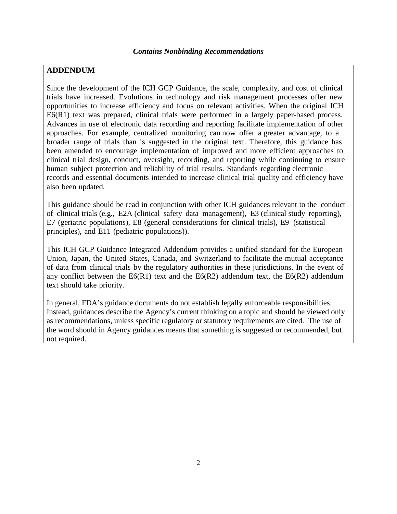#### **ADDENDUM**

Since the development of the ICH GCP Guidance, the scale, complexity, and cost of clinical trials have increased. Evolutions in technology and risk management processes offer new opportunities to increase efficiency and focus on relevant activities. When the original ICH E6(R1) text was prepared, clinical trials were performed in a largely paper-based process. Advances in use of electronic data recording and reporting facilitate implementation of other approaches. For example, centralized monitoring can now offer a greater advantage, to a broader range of trials than is suggested in the original text. Therefore, this guidance has been amended to encourage implementation of improved and more efficient approaches to clinical trial design, conduct, oversight, recording, and reporting while continuing to ensure human subject protection and reliability of trial results. Standards regarding electronic records and essential documents intended to increase clinical trial quality and efficiency have also been updated.

This guidance should be read in conjunction with other ICH guidances relevant to the conduct of clinical trials (e.g., E2A (clinical safety data management), E3 (clinical study reporting), E7 (geriatric populations), E8 (general considerations for clinical trials), E9 (statistical principles), and E11 (pediatric populations)).

This ICH GCP Guidance Integrated Addendum provides a unified standard for the European Union, Japan, the United States, Canada, and Switzerland to facilitate the mutual acceptance of data from clinical trials by the regulatory authorities in these jurisdictions. In the event of any conflict between the  $E6(R1)$  text and the  $E6(R2)$  addendum text, the  $E6(R2)$  addendum text should take priority.

In general, FDA's guidance documents do not establish legally enforceable responsibilities. Instead, guidances describe the Agency's current thinking on a topic and should be viewed only as recommendations, unless specific regulatory or statutory requirements are cited. The use of the word should in Agency guidances means that something is suggested or recommended, but not required.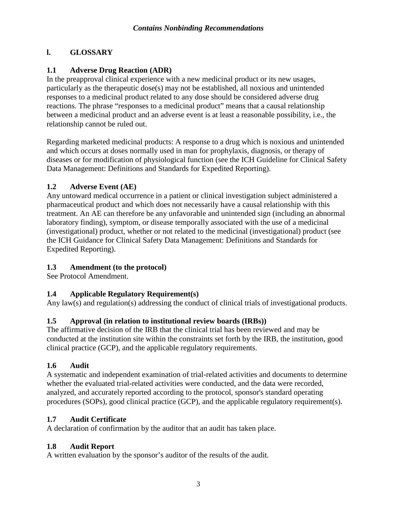## <span id="page-8-0"></span>**l. GLOSSARY**

## **1.1 Adverse Drug Reaction (ADR)**

In the preapproval clinical experience with a new medicinal product or its new usages, particularly as the therapeutic dose(s) may not be established, all noxious and unintended responses to a medicinal product related to any dose should be considered adverse drug reactions. The phrase "responses to a medicinal product" means that a causal relationship between a medicinal product and an adverse event is at least a reasonable possibility, i.e., the relationship cannot be ruled out.

Regarding marketed medicinal products: A response to a drug which is noxious and unintended and which occurs at doses normally used in man for prophylaxis, diagnosis, or therapy of diseases or for modification of physiological function (see the ICH Guideline for Clinical Safety Data Management: Definitions and Standards for Expedited Reporting).

## **1.2 Adverse Event (AE)**

Any untoward medical occurrence in a patient or clinical investigation subject administered a pharmaceutical product and which does not necessarily have a causal relationship with this treatment. An AE can therefore be any unfavorable and unintended sign (including an abnormal laboratory finding), symptom, or disease temporally associated with the use of a medicinal (investigational) product, whether or not related to the medicinal (investigational) product (see the ICH Guidance for Clinical Safety Data Management: Definitions and Standards for Expedited Reporting).

## **1.3 Amendment (to the protocol)**

See Protocol Amendment.

## **1.4 Applicable Regulatory Requirement(s)**

Any law(s) and regulation(s) addressing the conduct of clinical trials of investigational products.

## **1.5 Approval (in relation to institutional review boards (IRBs))**

The affirmative decision of the IRB that the clinical trial has been reviewed and may be conducted at the institution site within the constraints set forth by the IRB, the institution, good clinical practice (GCP), and the applicable regulatory requirements.

## **1.6 Audit**

A systematic and independent examination of trial-related activities and documents to determine whether the evaluated trial-related activities were conducted, and the data were recorded, analyzed, and accurately reported according to the protocol, sponsor's standard operating procedures (SOPs), good clinical practice (GCP), and the applicable regulatory requirement(s).

## **1.7 Audit Certificate**

A declaration of confirmation by the auditor that an audit has taken place.

## **1.8 Audit Report**

A written evaluation by the sponsor's auditor of the results of the audit.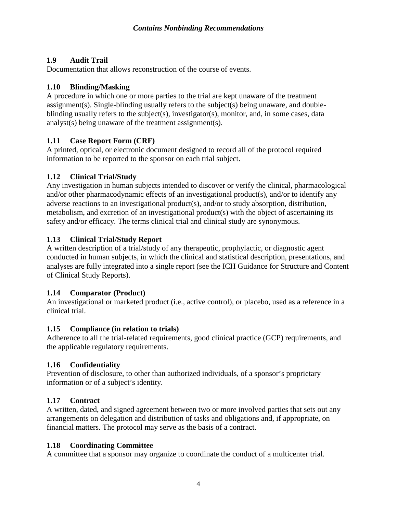## **1.9 Audit Trail**

Documentation that allows reconstruction of the course of events.

## **1.10 Blinding/Masking**

A procedure in which one or more parties to the trial are kept unaware of the treatment assignment(s). Single-blinding usually refers to the subject(s) being unaware, and doubleblinding usually refers to the subject(s), investigator(s), monitor, and, in some cases, data analyst(s) being unaware of the treatment assignment(s).

## **1.11 Case Report Form (CRF)**

A printed, optical, or electronic document designed to record all of the protocol required information to be reported to the sponsor on each trial subject.

## **1.12 Clinical Trial/Study**

Any investigation in human subjects intended to discover or verify the clinical, pharmacological and/or other pharmacodynamic effects of an investigational product(s), and/or to identify any adverse reactions to an investigational product(s), and/or to study absorption, distribution, metabolism, and excretion of an investigational product(s) with the object of ascertaining its safety and/or efficacy. The terms clinical trial and clinical study are synonymous.

## **1.13 Clinical Trial/Study Report**

A written description of a trial/study of any therapeutic, prophylactic, or diagnostic agent conducted in human subjects, in which the clinical and statistical description, presentations, and analyses are fully integrated into a single report (see the ICH Guidance for Structure and Content of Clinical Study Reports).

## **1.14 Comparator (Product)**

An investigational or marketed product (i.e., active control), or placebo, used as a reference in a clinical trial.

## **1.15 Compliance (in relation to trials)**

Adherence to all the trial-related requirements, good clinical practice (GCP) requirements, and the applicable regulatory requirements.

## **1.16 Confidentiality**

Prevention of disclosure, to other than authorized individuals, of a sponsor's proprietary information or of a subject's identity.

## **1.17 Contract**

A written, dated, and signed agreement between two or more involved parties that sets out any arrangements on delegation and distribution of tasks and obligations and, if appropriate, on financial matters. The protocol may serve as the basis of a contract.

## **1.18 Coordinating Committee**

A committee that a sponsor may organize to coordinate the conduct of a multicenter trial.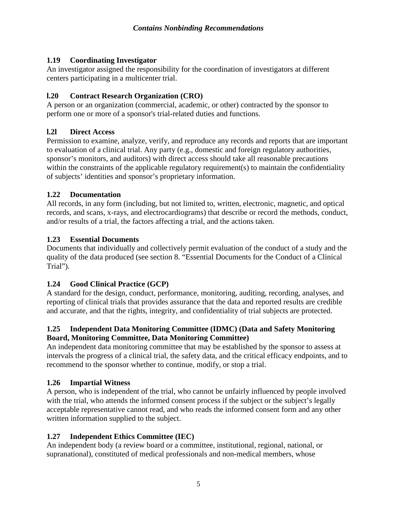## **1.19 Coordinating Investigator**

An investigator assigned the responsibility for the coordination of investigators at different centers participating in a multicenter trial.

## **l.20 Contract Research Organization (CRO)**

A person or an organization (commercial, academic, or other) contracted by the sponsor to perform one or more of a sponsor's trial-related duties and functions.

## **l.2l Direct Access**

Permission to examine, analyze, verify, and reproduce any records and reports that are important to evaluation of a clinical trial. Any party (e.g., domestic and foreign regulatory authorities, sponsor's monitors, and auditors) with direct access should take all reasonable precautions within the constraints of the applicable regulatory requirement(s) to maintain the confidentiality of subjects' identities and sponsor's proprietary information.

## **1.22 Documentation**

All records, in any form (including, but not limited to, written, electronic, magnetic, and optical records, and scans, x-rays, and electrocardiograms) that describe or record the methods, conduct, and/or results of a trial, the factors affecting a trial, and the actions taken.

## **1.23 Essential Documents**

Documents that individually and collectively permit evaluation of the conduct of a study and the quality of the data produced (see section 8. "Essential Documents for the Conduct of a Clinical Trial").

## **1.24 Good Clinical Practice (GCP)**

A standard for the design, conduct, performance, monitoring, auditing, recording, analyses, and reporting of clinical trials that provides assurance that the data and reported results are credible and accurate, and that the rights, integrity, and confidentiality of trial subjects are protected.

## **1.25 Independent Data Monitoring Committee (IDMC) (Data and Safety Monitoring Board, Monitoring Committee, Data Monitoring Committee)**

An independent data monitoring committee that may be established by the sponsor to assess at intervals the progress of a clinical trial, the safety data, and the critical efficacy endpoints, and to recommend to the sponsor whether to continue, modify, or stop a trial.

## **1.26 Impartial Witness**

A person, who is independent of the trial, who cannot be unfairly influenced by people involved with the trial, who attends the informed consent process if the subject or the subject's legally acceptable representative cannot read, and who reads the informed consent form and any other written information supplied to the subject.

## **1.27 Independent Ethics Committee (IEC)**

An independent body (a review board or a committee, institutional, regional, national, or supranational), constituted of medical professionals and non-medical members, whose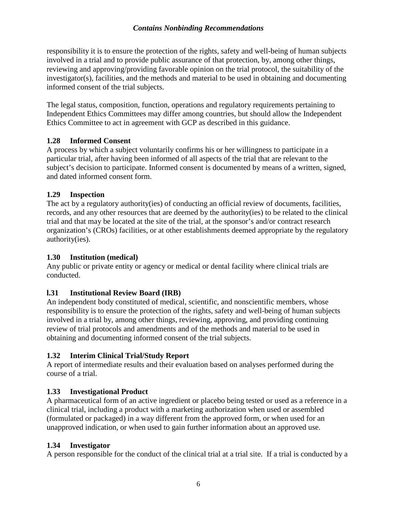responsibility it is to ensure the protection of the rights, safety and well-being of human subjects involved in a trial and to provide public assurance of that protection, by, among other things, reviewing and approving/providing favorable opinion on the trial protocol, the suitability of the investigator(s), facilities, and the methods and material to be used in obtaining and documenting informed consent of the trial subjects.

The legal status, composition, function, operations and regulatory requirements pertaining to Independent Ethics Committees may differ among countries, but should allow the Independent Ethics Committee to act in agreement with GCP as described in this guidance.

## **1.28 Informed Consent**

A process by which a subject voluntarily confirms his or her willingness to participate in a particular trial, after having been informed of all aspects of the trial that are relevant to the subject's decision to participate. Informed consent is documented by means of a written, signed, and dated informed consent form.

## **1.29 Inspection**

The act by a regulatory authority(ies) of conducting an official review of documents, facilities, records, and any other resources that are deemed by the authority(ies) to be related to the clinical trial and that may be located at the site of the trial, at the sponsor's and/or contract research organization's (CROs) facilities, or at other establishments deemed appropriate by the regulatory authority(ies).

#### **1.30 Institution (medical)**

Any public or private entity or agency or medical or dental facility where clinical trials are conducted.

## **l.31 Institutional Review Board (IRB)**

An independent body constituted of medical, scientific, and nonscientific members, whose responsibility is to ensure the protection of the rights, safety and well-being of human subjects involved in a trial by, among other things, reviewing, approving, and providing continuing review of trial protocols and amendments and of the methods and material to be used in obtaining and documenting informed consent of the trial subjects.

## **1.32 Interim Clinical Trial/Study Report**

A report of intermediate results and their evaluation based on analyses performed during the course of a trial.

## **1.33 Investigational Product**

A pharmaceutical form of an active ingredient or placebo being tested or used as a reference in a clinical trial, including a product with a marketing authorization when used or assembled (formulated or packaged) in a way different from the approved form, or when used for an unapproved indication, or when used to gain further information about an approved use.

#### **1.34 Investigator**

A person responsible for the conduct of the clinical trial at a trial site. If a trial is conducted by a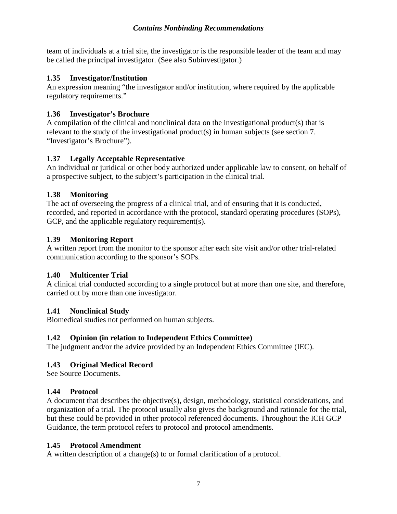team of individuals at a trial site, the investigator is the responsible leader of the team and may be called the principal investigator. (See also Subinvestigator.)

#### **1.35 Investigator/Institution**

An expression meaning "the investigator and/or institution, where required by the applicable regulatory requirements."

## **1.36 Investigator's Brochure**

A compilation of the clinical and nonclinical data on the investigational product(s) that is relevant to the study of the investigational product(s) in human subjects (see section 7. "Investigator's Brochure").

## **1.37 Legally Acceptable Representative**

An individual or juridical or other body authorized under applicable law to consent, on behalf of a prospective subject, to the subject's participation in the clinical trial.

## **1.38 Monitoring**

The act of overseeing the progress of a clinical trial, and of ensuring that it is conducted, recorded, and reported in accordance with the protocol, standard operating procedures (SOPs), GCP, and the applicable regulatory requirement(s).

## **1.39 Monitoring Report**

A written report from the monitor to the sponsor after each site visit and/or other trial-related communication according to the sponsor's SOPs.

## **1.40 Multicenter Trial**

A clinical trial conducted according to a single protocol but at more than one site, and therefore, carried out by more than one investigator.

#### **1.41 Nonclinical Study**

Biomedical studies not performed on human subjects.

#### **1.42 Opinion (in relation to Independent Ethics Committee)**

The judgment and/or the advice provided by an Independent Ethics Committee (IEC).

#### **1.43 Original Medical Record**

See Source Documents.

#### **1.44 Protocol**

A document that describes the objective(s), design, methodology, statistical considerations, and organization of a trial. The protocol usually also gives the background and rationale for the trial, but these could be provided in other protocol referenced documents. Throughout the ICH GCP Guidance, the term protocol refers to protocol and protocol amendments.

#### **1.45 Protocol Amendment**

A written description of a change(s) to or formal clarification of a protocol.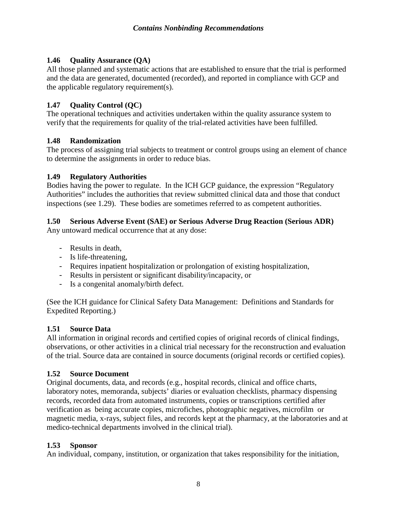#### **1.46 Quality Assurance (QA)**

All those planned and systematic actions that are established to ensure that the trial is performed and the data are generated, documented (recorded), and reported in compliance with GCP and the applicable regulatory requirement(s).

## **1.47 Quality Control (QC)**

The operational techniques and activities undertaken within the quality assurance system to verify that the requirements for quality of the trial-related activities have been fulfilled.

## **1.48 Randomization**

The process of assigning trial subjects to treatment or control groups using an element of chance to determine the assignments in order to reduce bias.

## **1.49 Regulatory Authorities**

Bodies having the power to regulate. In the ICH GCP guidance, the expression "Regulatory Authorities" includes the authorities that review submitted clinical data and those that conduct inspections (see 1.29). These bodies are sometimes referred to as competent authorities.

## **1.50 Serious Adverse Event (SAE) or Serious Adverse Drug Reaction (Serious ADR)**

Any untoward medical occurrence that at any dose:

- Results in death,
- Is life-threatening,
- Requires inpatient hospitalization or prolongation of existing hospitalization,
- Results in persistent or significant disability/incapacity, or
- Is a congenital anomaly/birth defect.

(See the ICH guidance for Clinical Safety Data Management: Definitions and Standards for Expedited Reporting.)

#### **1.51 Source Data**

All information in original records and certified copies of original records of clinical findings, observations, or other activities in a clinical trial necessary for the reconstruction and evaluation of the trial. Source data are contained in source documents (original records or certified copies).

#### **1.52 Source Document**

Original documents, data, and records (e.g., hospital records, clinical and office charts, laboratory notes, memoranda, subjects' diaries or evaluation checklists, pharmacy dispensing records, recorded data from automated instruments, copies or transcriptions certified after verification as being accurate copies, microfiches, photographic negatives, microfilm or magnetic media, x-rays, subject files, and records kept at the pharmacy, at the laboratories and at medico-technical departments involved in the clinical trial).

#### **1.53 Sponsor**

An individual, company, institution, or organization that takes responsibility for the initiation,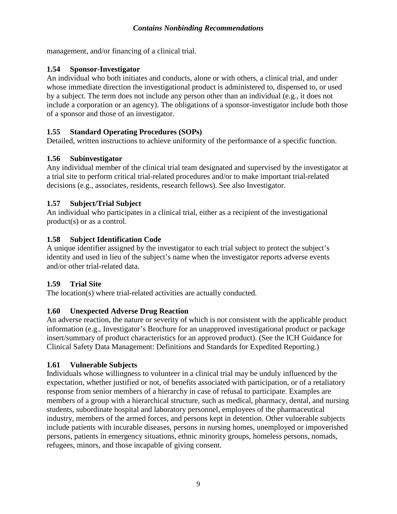management, and/or financing of a clinical trial.

## **1.54 Sponsor-Investigator**

An individual who both initiates and conducts, alone or with others, a clinical trial, and under whose immediate direction the investigational product is administered to, dispensed to, or used by a subject. The term does not include any person other than an individual (e.g., it does not include a corporation or an agency). The obligations of a sponsor-investigator include both those of a sponsor and those of an investigator.

## **1.55 Standard Operating Procedures (SOPs)**

Detailed, written instructions to achieve uniformity of the performance of a specific function.

## **1.56 Subinvestigator**

Any individual member of the clinical trial team designated and supervised by the investigator at a trial site to perform critical trial-related procedures and/or to make important trial-related decisions (e.g., associates, residents, research fellows). See also Investigator.

## **1.57 Subject/Trial Subject**

An individual who participates in a clinical trial, either as a recipient of the investigational product(s) or as a control.

## **1.58 Subject Identification Code**

A unique identifier assigned by the investigator to each trial subject to protect the subject's identity and used in lieu of the subject's name when the investigator reports adverse events and/or other trial-related data.

## **1.59 Trial Site**

The location(s) where trial-related activities are actually conducted.

## **1.60 Unexpected Adverse Drug Reaction**

An adverse reaction, the nature or severity of which is not consistent with the applicable product information (e.g., Investigator's Brochure for an unapproved investigational product or package insert/summary of product characteristics for an approved product). (See the ICH Guidance for Clinical Safety Data Management: Definitions and Standards for Expedited Reporting.)

## **1.61 Vulnerable Subjects**

Individuals whose willingness to volunteer in a clinical trial may be unduly influenced by the expectation, whether justified or not, of benefits associated with participation, or of a retaliatory response from senior members of a hierarchy in case of refusal to participate. Examples are members of a group with a hierarchical structure, such as medical, pharmacy, dental, and nursing students, subordinate hospital and laboratory personnel, employees of the pharmaceutical industry, members of the armed forces, and persons kept in detention. Other vulnerable subjects include patients with incurable diseases, persons in nursing homes, unemployed or impoverished persons, patients in emergency situations, ethnic minority groups, homeless persons, nomads, refugees, minors, and those incapable of giving consent.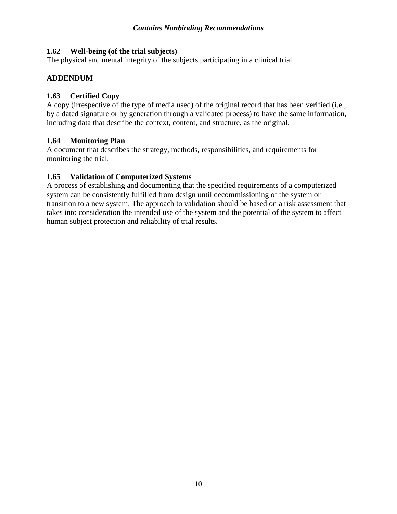#### **1.62 Well-being (of the trial subjects)**

The physical and mental integrity of the subjects participating in a clinical trial.

## **ADDENDUM**

## **1.63 Certified Copy**

A copy (irrespective of the type of media used) of the original record that has been verified (i.e., by a dated signature or by generation through a validated process) to have the same information, including data that describe the context, content, and structure, as the original.

#### **1.64 Monitoring Plan**

A document that describes the strategy, methods, responsibilities, and requirements for monitoring the trial.

## **1.65 Validation of Computerized Systems**

A process of establishing and documenting that the specified requirements of a computerized system can be consistently fulfilled from design until decommissioning of the system or transition to a new system. The approach to validation should be based on a risk assessment that takes into consideration the intended use of the system and the potential of the system to affect human subject protection and reliability of trial results.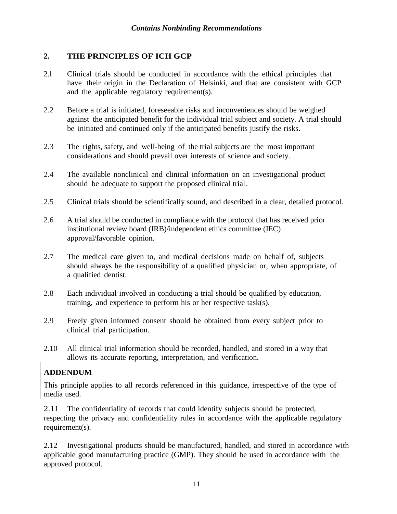## <span id="page-16-0"></span>**2. THE PRINCIPLES OF ICH GCP**

- 2.l Clinical trials should be conducted in accordance with the ethical principles that have their origin in the Declaration of Helsinki, and that are consistent with GCP and the applicable regulatory requirement(s).
- 2.2 Before a trial is initiated, foreseeable risks and inconveniences should be weighed against the anticipated benefit for the individual trial subject and society. A trial should be initiated and continued only if the anticipated benefits justify the risks.
- 2.3 The rights, safety, and well-being of the trial subjects are the most important considerations and should prevail over interests of science and society.
- 2.4 The available nonclinical and clinical information on an investigational product should be adequate to support the proposed clinical trial.
- 2.5 Clinical trials should be scientifically sound, and described in a clear, detailed protocol.
- 2.6 A trial should be conducted in compliance with the protocol that has received prior institutional review board (IRB)/independent ethics committee (IEC) approval/favorable opinion.
- 2.7 The medical care given to, and medical decisions made on behalf of, subjects should always be the responsibility of a qualified physician or, when appropriate, of a qualified dentist.
- 2.8 Each individual involved in conducting a trial should be qualified by education, training, and experience to perform his or her respective task(s).
- 2.9 Freely given informed consent should be obtained from every subject prior to clinical trial participation.
- 2.10 All clinical trial information should be recorded, handled, and stored in a way that allows its accurate reporting, interpretation, and verification.

## **ADDENDUM**

This principle applies to all records referenced in this guidance, irrespective of the type of media used.

2.11 The confidentiality of records that could identify subjects should be protected, respecting the privacy and confidentiality rules in accordance with the applicable regulatory requirement(s).

2.12 Investigational products should be manufactured, handled, and stored in accordance with applicable good manufacturing practice (GMP). They should be used in accordance with the approved protocol.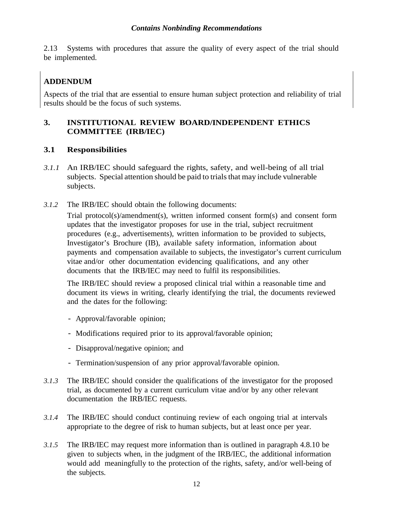2.13 Systems with procedures that assure the quality of every aspect of the trial should be implemented.

## **ADDENDUM**

Aspects of the trial that are essential to ensure human subject protection and reliability of trial results should be the focus of such systems.

## <span id="page-17-0"></span>**3. INSTITUTIONAL REVIEW BOARD/INDEPENDENT ETHICS COMMITTEE (IRB/IEC)**

## <span id="page-17-1"></span>**3.1 Responsibilities**

- *3.1.1* An IRB/IEC should safeguard the rights, safety, and well-being of all trial subjects. Special attention should be paid to trialsthat may include vulnerable subjects.
- *3.1.2* The IRB/IEC should obtain the following documents:

Trial protocol(s)/amendment(s), written informed consent form(s) and consent form updates that the investigator proposes for use in the trial, subject recruitment procedures (e.g., advertisements), written information to be provided to subjects, Investigator's Brochure (IB), available safety information, information about payments and compensation available to subjects, the investigator's current curriculum vitae and/or other documentation evidencing qualifications, and any other documents that the IRB/IEC may need to fulfil its responsibilities.

The IRB/IEC should review a proposed clinical trial within a reasonable time and document its views in writing, clearly identifying the trial, the documents reviewed and the dates for the following:

- Approval/favorable opinion;
- Modifications required prior to its approval/favorable opinion;
- Disapproval/negative opinion; and
- Termination/suspension of any prior approval/favorable opinion.
- *3.1.3* The IRB/IEC should consider the qualifications of the investigator for the proposed trial, as documented by a current curriculum vitae and/or by any other relevant documentation the IRB/IEC requests.
- *3.1.4* The IRB/IEC should conduct continuing review of each ongoing trial at intervals appropriate to the degree of risk to human subjects, but at least once per year.
- *3.1.5* The IRB/IEC may request more information than is outlined in paragraph 4.8.10 be given to subjects when, in the judgment of the IRB/IEC, the additional information would add meaningfully to the protection of the rights, safety, and/or well-being of the subjects.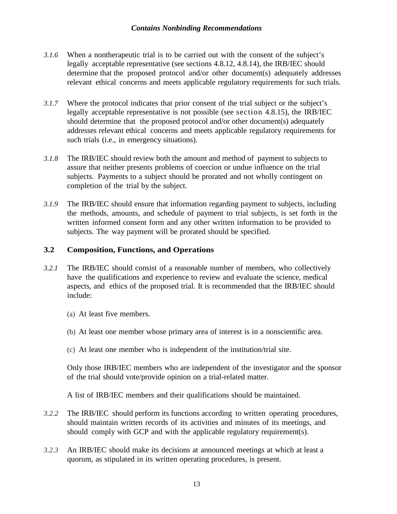- *3.1.6* When a nontherapeutic trial is to be carried out with the consent of the subject's legally acceptable representative (see sections 4.8.12, 4.8.14), the IRB/IEC should determine that the proposed protocol and/or other document(s) adequately addresses relevant ethical concerns and meets applicable regulatory requirements for such trials.
- *3.1.7* Where the protocol indicates that prior consent of the trial subject or the subject's legally acceptable representative is not possible (see section 4.8.15), the IRB/IEC should determine that the proposed protocol and/or other document(s) adequately addresses relevant ethical concerns and meets applicable regulatory requirements for such trials (i.e., in emergency situations).
- *3.1.8* The IRB/IEC should review both the amount and method of payment to subjects to assure that neither presents problems of coercion or undue influence on the trial subjects. Payments to a subject should be prorated and not wholly contingent on completion of the trial by the subject.
- *3.1.9* The IRB/IEC should ensure that information regarding payment to subjects, including the methods, amounts, and schedule of payment to trial subjects, is set forth in the written informed consent form and any other written information to be provided to subjects. The way payment will be prorated should be specified.

## <span id="page-18-0"></span>**3.2 Composition, Functions, and Operations**

- *3.2.1* The IRB/IEC should consist of a reasonable number of members, who collectively have the qualifications and experience to review and evaluate the science, medical aspects, and ethics of the proposed trial. It is recommended that the IRB/IEC should include:
	- (a) At least five members.
	- (b) At least one member whose primary area of interest is in a nonscientific area.
	- (c) At least one member who is independent of the institution/trial site.

Only those IRB/IEC members who are independent of the investigator and the sponsor of the trial should vote/provide opinion on a trial-related matter.

A list of IRB/IEC members and their qualifications should be maintained.

- *3.2.2* The IRB/IEC should perform its functions according to written operating procedures, should maintain written records of its activities and minutes of its meetings, and should comply with GCP and with the applicable regulatory requirement(s).
- *3.2.3* An IRB/IEC should make its decisions at announced meetings at which at least a quorum, as stipulated in its written operating procedures, is present.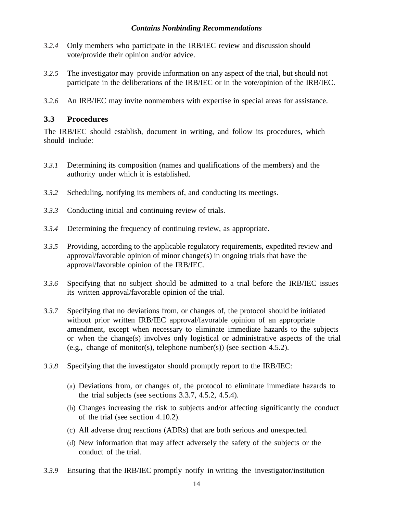- *3.2.4* Only members who participate in the IRB/IEC review and discussion should vote/provide their opinion and/or advice.
- *3.2.5* The investigator may provide information on any aspect of the trial, but should not participate in the deliberations of the IRB/IEC or in the vote/opinion of the IRB/IEC.
- *3.2.6* An IRB/IEC may invite nonmembers with expertise in special areas for assistance.

#### <span id="page-19-0"></span>**3.3 Procedures**

The IRB/IEC should establish, document in writing, and follow its procedures, which should include:

- *3.3.1* Determining its composition (names and qualifications of the members) and the authority under which it is established.
- *3.3.2* Scheduling, notifying its members of, and conducting its meetings.
- *3.3.3* Conducting initial and continuing review of trials.
- *3.3.4* Determining the frequency of continuing review, as appropriate.
- *3.3.5* Providing, according to the applicable regulatory requirements, expedited review and approval/favorable opinion of minor change(s) in ongoing trials that have the approval/favorable opinion of the IRB/IEC.
- *3.3.6* Specifying that no subject should be admitted to a trial before the IRB/IEC issues its written approval/favorable opinion of the trial.
- *3.3.7* Specifying that no deviations from, or changes of, the protocol should be initiated without prior written IRB/IEC approval/favorable opinion of an appropriate amendment, except when necessary to eliminate immediate hazards to the subjects or when the change(s) involves only logistical or administrative aspects of the trial (e.g., change of monitor(s), telephone number(s)) (see section 4.5.2).
- *3.3.8* Specifying that the investigator should promptly report to the IRB/IEC:
	- (a) Deviations from, or changes of, the protocol to eliminate immediate hazards to the trial subjects (see sections 3.3.7, 4.5.2, 4.5.4).
	- (b) Changes increasing the risk to subjects and/or affecting significantly the conduct of the trial (see section 4.10.2).
	- (c) All adverse drug reactions (ADRs) that are both serious and unexpected.
	- (d) New information that may affect adversely the safety of the subjects or the conduct of the trial.
- *3.3.9* Ensuring that the IRB/IEC promptly notify in writing the investigator/institution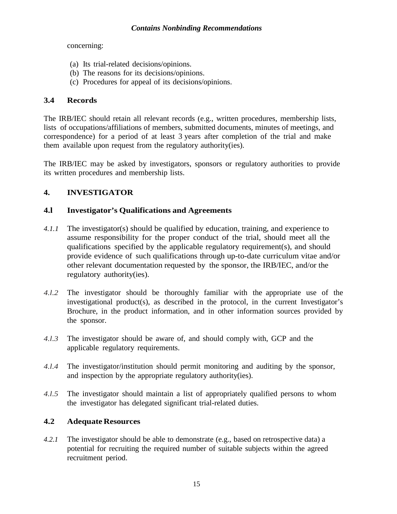concerning:

- (a) Its trial-related decisions/opinions.
- (b) The reasons for its decisions/opinions.
- (c) Procedures for appeal of its decisions/opinions.

## <span id="page-20-0"></span>**3.4 Records**

The IRB/IEC should retain all relevant records (e.g., written procedures, membership lists, lists of occupations/affiliations of members, submitted documents, minutes of meetings, and correspondence) for a period of at least 3 years after completion of the trial and make them available upon request from the regulatory authority(ies).

The IRB/IEC may be asked by investigators, sponsors or regulatory authorities to provide its written procedures and membership lists.

## <span id="page-20-1"></span>**4. INVESTIGATOR**

## <span id="page-20-2"></span>**4.l Investigator's Qualifications and Agreements**

- *4.1.1* The investigator(s) should be qualified by education, training, and experience to assume responsibility for the proper conduct of the trial, should meet all the qualifications specified by the applicable regulatory requirement(s), and should provide evidence of such qualifications through up-to-date curriculum vitae and/or other relevant documentation requested by the sponsor, the IRB/IEC, and/or the regulatory authority(ies).
- *4.l.2* The investigator should be thoroughly familiar with the appropriate use of the investigational product(s), as described in the protocol, in the current Investigator's Brochure, in the product information, and in other information sources provided by the sponsor.
- *4.l.3* The investigator should be aware of, and should comply with, GCP and the applicable regulatory requirements.
- *4.l.4* The investigator/institution should permit monitoring and auditing by the sponsor, and inspection by the appropriate regulatory authority(ies).
- *4.l.5* The investigator should maintain a list of appropriately qualified persons to whom the investigator has delegated significant trial-related duties.

## <span id="page-20-3"></span>**4.2 Adequate Resources**

*4.2.1* The investigator should be able to demonstrate (e.g., based on retrospective data) a potential for recruiting the required number of suitable subjects within the agreed recruitment period.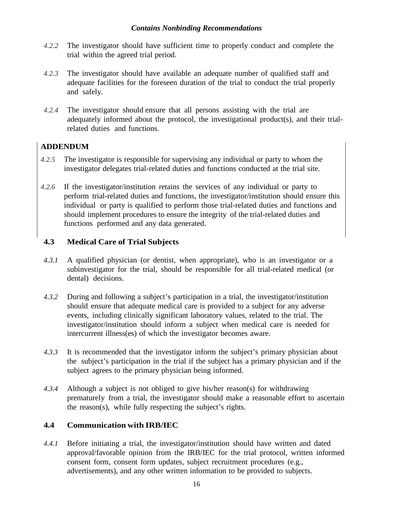- *4.2.2* The investigator should have sufficient time to properly conduct and complete the trial within the agreed trial period.
- *4.2.3* The investigator should have available an adequate number of qualified staff and adequate facilities for the foreseen duration of the trial to conduct the trial properly and safely.
- *4.2.4* The investigator should ensure that all persons assisting with the trial are adequately informed about the protocol, the investigational product(s), and their trialrelated duties and functions.

## **ADDENDUM**

- *4.2.5* The investigator is responsible for supervising any individual or party to whom the investigator delegates trial-related duties and functions conducted at the trial site.
- *4.2.6* If the investigator/institution retains the services of any individual or party to perform trial-related duties and functions, the investigator/institution should ensure this individual or party is qualified to perform those trial-related duties and functions and should implement procedures to ensure the integrity of the trial-related duties and functions performed and any data generated.

## <span id="page-21-0"></span>**4.3 Medical Care of Trial Subjects**

- *4.3.1* A qualified physician (or dentist, when appropriate), who is an investigator or a subinvestigator for the trial, should be responsible for all trial-related medical (or dental) decisions.
- *4.3.2* During and following a subject's participation in a trial, the investigator/institution should ensure that adequate medical care is provided to a subject for any adverse events, including clinically significant laboratory values, related to the trial. The investigator/institution should inform a subject when medical care is needed for intercurrent illness(es) of which the investigator becomes aware.
- *4.3.3* It is recommended that the investigator inform the subject's primary physician about the subject's participation in the trial if the subject has a primary physician and if the subject agrees to the primary physician being informed.
- *4.3.4* Although a subject is not obliged to give his/her reason(s) for withdrawing prematurely from a trial, the investigator should make a reasonable effort to ascertain the reason(s), while fully respecting the subject's rights.

## <span id="page-21-1"></span>**4.4 Communication with IRB/IEC**

*4.4.1* Before initiating a trial, the investigator/institution should have written and dated approval/favorable opinion from the IRB/IEC for the trial protocol, written informed consent form, consent form updates, subject recruitment procedures (e.g., advertisements), and any other written information to be provided to subjects.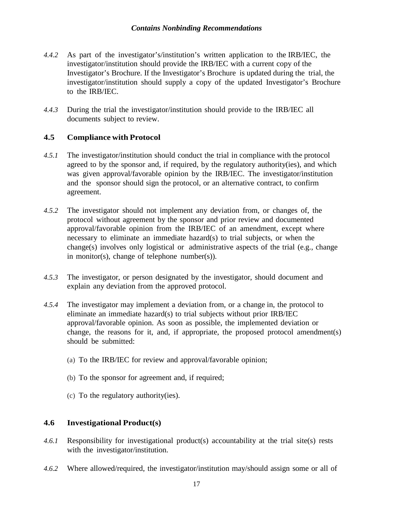- *4.4.2* As part of the investigator's/institution's written application to the IRB/IEC, the investigator/institution should provide the IRB/IEC with a current copy of the Investigator's Brochure. If the Investigator's Brochure is updated during the trial, the investigator/institution should supply a copy of the updated Investigator's Brochure to the IRB/IEC.
- *4.4.3* During the trial the investigator/institution should provide to the IRB/IEC all documents subject to review.

## <span id="page-22-0"></span>**4.5 Compliance with Protocol**

- *4.5.1* The investigator/institution should conduct the trial in compliance with the protocol agreed to by the sponsor and, if required, by the regulatory authority(ies), and which was given approval/favorable opinion by the IRB/IEC. The investigator/institution and the sponsor should sign the protocol, or an alternative contract, to confirm agreement.
- *4.5.2* The investigator should not implement any deviation from, or changes of, the protocol without agreement by the sponsor and prior review and documented approval/favorable opinion from the IRB/IEC of an amendment, except where necessary to eliminate an immediate hazard(s) to trial subjects, or when the change(s) involves only logistical or administrative aspects of the trial (e.g., change in monitor(s), change of telephone number(s)).
- *4.5.3* The investigator, or person designated by the investigator, should document and explain any deviation from the approved protocol.
- *4.5.4* The investigator may implement a deviation from, or a change in, the protocol to eliminate an immediate hazard(s) to trial subjects without prior IRB/IEC approval/favorable opinion. As soon as possible, the implemented deviation or change, the reasons for it, and, if appropriate, the proposed protocol amendment(s) should be submitted:
	- (a) To the IRB/IEC for review and approval/favorable opinion;
	- (b) To the sponsor for agreement and, if required;
	- (c) To the regulatory authority(ies).

## <span id="page-22-1"></span>**4.6 Investigational Product(s)**

- *4.6.1* Responsibility for investigational product(s) accountability at the trial site(s) rests with the investigator/institution.
- *4.6.2* Where allowed/required, the investigator/institution may/should assign some or all of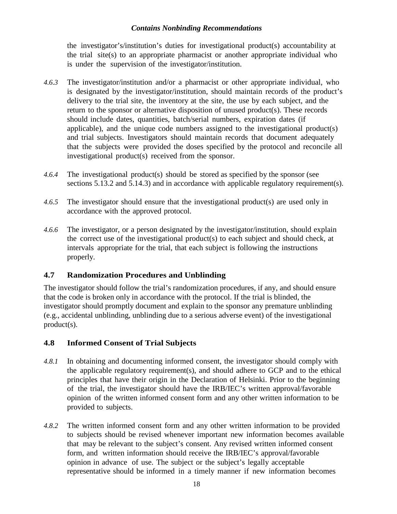the investigator's/institution's duties for investigational product(s) accountability at the trial site(s) to an appropriate pharmacist or another appropriate individual who is under the supervision of the investigator/institution.

- *4.6.3* The investigator/institution and/or a pharmacist or other appropriate individual, who is designated by the investigator/institution, should maintain records of the product's delivery to the trial site, the inventory at the site, the use by each subject, and the return to the sponsor or alternative disposition of unused product(s). These records should include dates, quantities, batch/serial numbers, expiration dates (if applicable), and the unique code numbers assigned to the investigational product(s) and trial subjects. Investigators should maintain records that document adequately that the subjects were provided the doses specified by the protocol and reconcile all investigational product(s) received from the sponsor.
- *4.6.4* The investigational product(s) should be stored as specified by the sponsor (see sections 5.13.2 and 5.14.3) and in accordance with applicable regulatory requirement(s).
- *4.6.5* The investigator should ensure that the investigational product(s) are used only in accordance with the approved protocol.
- *4.6.6* The investigator, or a person designated by the investigator/institution, should explain the correct use of the investigational product(s) to each subject and should check, at intervals appropriate for the trial, that each subject is following the instructions properly.

#### <span id="page-23-0"></span>**4.7 Randomization Procedures and Unblinding**

The investigator should follow the trial's randomization procedures, if any, and should ensure that the code is broken only in accordance with the protocol. If the trial is blinded, the investigator should promptly document and explain to the sponsor any premature unblinding (e.g., accidental unblinding, unblinding due to a serious adverse event) of the investigational product(s).

#### <span id="page-23-1"></span>**4.8 Informed Consent of Trial Subjects**

- *4.8.1* In obtaining and documenting informed consent, the investigator should comply with the applicable regulatory requirement(s), and should adhere to GCP and to the ethical principles that have their origin in the Declaration of Helsinki. Prior to the beginning of the trial, the investigator should have the IRB/IEC's written approval/favorable opinion of the written informed consent form and any other written information to be provided to subjects.
- *4.8.2* The written informed consent form and any other written information to be provided to subjects should be revised whenever important new information becomes available that may be relevant to the subject's consent. Any revised written informed consent form, and written information should receive the IRB/IEC's approval/favorable opinion in advance of use. The subject or the subject's legally acceptable representative should be informed in a timely manner if new information becomes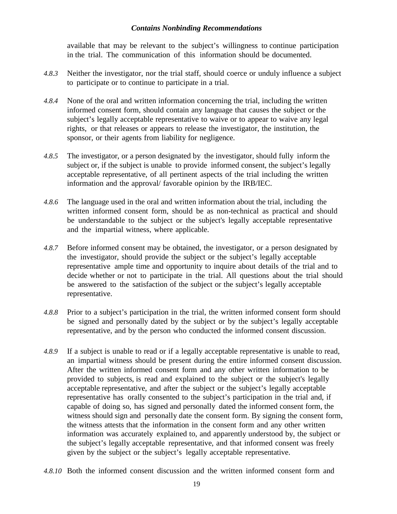available that may be relevant to the subject's willingness to continue participation in the trial. The communication of this information should be documented.

- *4.8.3* Neither the investigator, nor the trial staff, should coerce or unduly influence a subject to participate or to continue to participate in a trial.
- *4.8.4* None of the oral and written information concerning the trial, including the written informed consent form, should contain any language that causes the subject or the subject's legally acceptable representative to waive or to appear to waive any legal rights, or that releases or appears to release the investigator, the institution, the sponsor, or their agents from liability for negligence.
- *4.8.5* The investigator, or a person designated by the investigator, should fully inform the subject or, if the subject is unable to provide informed consent, the subject's legally acceptable representative, of all pertinent aspects of the trial including the written information and the approval/ favorable opinion by the IRB/IEC.
- *4.8.6* The language used in the oral and written information about the trial, including the written informed consent form, should be as non-technical as practical and should be understandable to the subject or the subject's legally acceptable representative and the impartial witness, where applicable.
- *4.8.7* Before informed consent may be obtained, the investigator, or a person designated by the investigator, should provide the subject or the subject's legally acceptable representative ample time and opportunity to inquire about details of the trial and to decide whether or not to participate in the trial. All questions about the trial should be answered to the satisfaction of the subject or the subject's legally acceptable representative.
- *4.8.8* Prior to a subject's participation in the trial, the written informed consent form should be signed and personally dated by the subject or by the subject's legally acceptable representative, and by the person who conducted the informed consent discussion.
- *4.8.9* If a subject is unable to read or if a legally acceptable representative is unable to read, an impartial witness should be present during the entire informed consent discussion. After the written informed consent form and any other written information to be provided to subjects, is read and explained to the subject or the subject's legally acceptable representative, and after the subject or the subject's legally acceptable representative has orally consented to the subject's participation in the trial and, if capable of doing so, has signed and personally dated the informed consent form, the witness should sign and personally date the consent form. By signing the consent form, the witness attests that the information in the consent form and any other written information was accurately explained to, and apparently understood by, the subject or the subject's legally acceptable representative, and that informed consent was freely given by the subject or the subject's legally acceptable representative.
- *4.8.10* Both the informed consent discussion and the written informed consent form and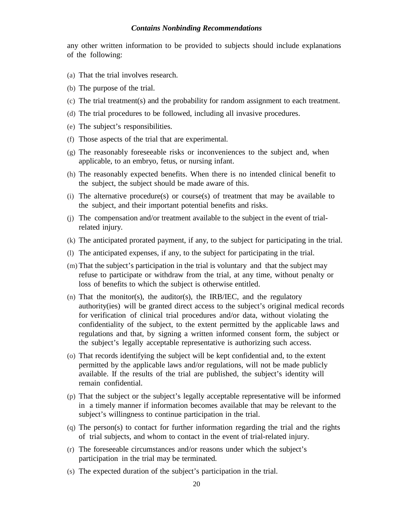any other written information to be provided to subjects should include explanations of the following:

- (a) That the trial involves research.
- (b) The purpose of the trial.
- (c) The trial treatment(s) and the probability for random assignment to each treatment.
- (d) The trial procedures to be followed, including all invasive procedures.
- (e) The subject's responsibilities.
- (f) Those aspects of the trial that are experimental.
- (g) The reasonably foreseeable risks or inconveniences to the subject and, when applicable, to an embryo, fetus, or nursing infant.
- (h) The reasonably expected benefits. When there is no intended clinical benefit to the subject, the subject should be made aware of this.
- (i) The alternative procedure(s) or course(s) of treatment that may be available to the subject, and their important potential benefits and risks.
- (j) The compensation and/or treatment available to the subject in the event of trialrelated injury.
- (k) The anticipated prorated payment, if any, to the subject for participating in the trial.
- (l) The anticipated expenses, if any, to the subject for participating in the trial.
- (m) That the subject's participation in the trial is voluntary and that the subject may refuse to participate or withdraw from the trial, at any time, without penalty or loss of benefits to which the subject is otherwise entitled.
- (n) That the monitor(s), the auditor(s), the IRB/IEC, and the regulatory authority(ies) will be granted direct access to the subject's original medical records for verification of clinical trial procedures and/or data, without violating the confidentiality of the subject, to the extent permitted by the applicable laws and regulations and that, by signing a written informed consent form, the subject or the subject's legally acceptable representative is authorizing such access.
- (o) That records identifying the subject will be kept confidential and, to the extent permitted by the applicable laws and/or regulations, will not be made publicly available. If the results of the trial are published, the subject's identity will remain confidential.
- (p) That the subject or the subject's legally acceptable representative will be informed in a timely manner if information becomes available that may be relevant to the subject's willingness to continue participation in the trial.
- (q) The person(s) to contact for further information regarding the trial and the rights of trial subjects, and whom to contact in the event of trial-related injury.
- (r) The foreseeable circumstances and/or reasons under which the subject's participation in the trial may be terminated.
- (s) The expected duration of the subject's participation in the trial.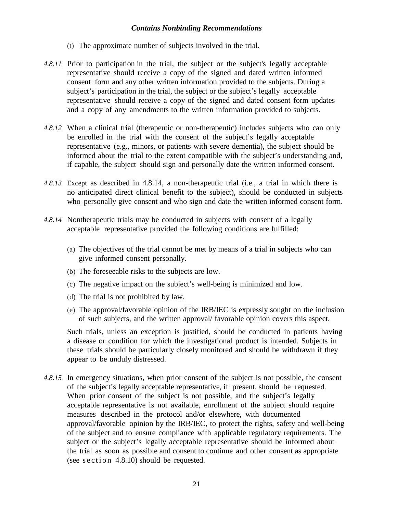- (t) The approximate number of subjects involved in the trial.
- *4.8.11* Prior to participation in the trial, the subject or the subject's legally acceptable representative should receive a copy of the signed and dated written informed consent form and any other written information provided to the subjects. During a subject's participation in the trial, the subject or the subject's legally acceptable representative should receive a copy of the signed and dated consent form updates and a copy of any amendments to the written information provided to subjects.
- *4.8.12* When a clinical trial (therapeutic or non-therapeutic) includes subjects who can only be enrolled in the trial with the consent of the subject's legally acceptable representative (e.g., minors, or patients with severe dementia), the subject should be informed about the trial to the extent compatible with the subject's understanding and, if capable, the subject should sign and personally date the written informed consent.
- *4.8.13* Except as described in 4.8.14, a non-therapeutic trial (i.e., a trial in which there is no anticipated direct clinical benefit to the subject), should be conducted in subjects who personally give consent and who sign and date the written informed consent form.
- *4.8.14* Nontherapeutic trials may be conducted in subjects with consent of a legally acceptable representative provided the following conditions are fulfilled:
	- (a) The objectives of the trial cannot be met by means of a trial in subjects who can give informed consent personally.
	- (b) The foreseeable risks to the subjects are low.
	- (c) The negative impact on the subject's well-being is minimized and low.
	- (d) The trial is not prohibited by law.
	- (e) The approval/favorable opinion of the IRB/IEC is expressly sought on the inclusion of such subjects, and the written approval/ favorable opinion covers this aspect.

Such trials, unless an exception is justified, should be conducted in patients having a disease or condition for which the investigational product is intended. Subjects in these trials should be particularly closely monitored and should be withdrawn if they appear to be unduly distressed.

*4.8.15* In emergency situations, when prior consent of the subject is not possible, the consent of the subject's legally acceptable representative, if present, should be requested. When prior consent of the subject is not possible, and the subject's legally acceptable representative is not available, enrollment of the subject should require measures described in the protocol and/or elsewhere, with documented approval/favorable opinion by the IRB/IEC, to protect the rights, safety and well-being of the subject and to ensure compliance with applicable regulatory requirements. The subject or the subject's legally acceptable representative should be informed about the trial as soon as possible and consent to continue and other consent as appropriate (see section 4.8.10) should be requested.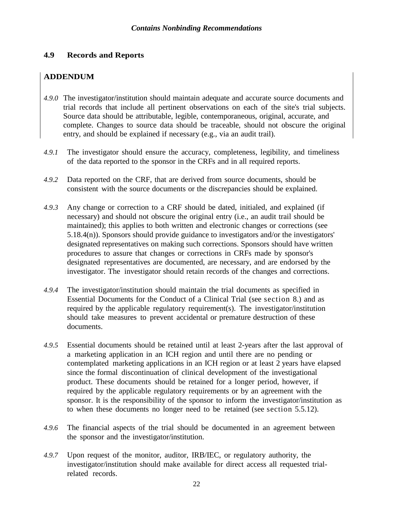#### <span id="page-27-0"></span>**4.9 Records and Reports**

#### **ADDENDUM**

- *4.9.0* The investigator/institution should maintain adequate and accurate source documents and trial records that include all pertinent observations on each of the site's trial subjects. Source data should be attributable, legible, contemporaneous, original, accurate, and complete. Changes to source data should be traceable, should not obscure the original entry, and should be explained if necessary (e.g., via an audit trail).
- *4.9.1* The investigator should ensure the accuracy, completeness, legibility, and timeliness of the data reported to the sponsor in the CRFs and in all required reports.
- *4.9.2* Data reported on the CRF, that are derived from source documents, should be consistent with the source documents or the discrepancies should be explained.
- *4.9.3* Any change or correction to a CRF should be dated, initialed, and explained (if necessary) and should not obscure the original entry (i.e., an audit trail should be maintained); this applies to both written and electronic changes or corrections (see 5.18.4(n)). Sponsors should provide guidance to investigators and/or the investigators' designated representatives on making such corrections. Sponsors should have written procedures to assure that changes or corrections in CRFs made by sponsor's designated representatives are documented, are necessary, and are endorsed by the investigator. The investigator should retain records of the changes and corrections.
- *4.9.4* The investigator/institution should maintain the trial documents as specified in Essential Documents for the Conduct of a Clinical Trial (see section 8.) and as required by the applicable regulatory requirement(s). The investigator/institution should take measures to prevent accidental or premature destruction of these documents.
- *4.9.5* Essential documents should be retained until at least 2-years after the last approval of a marketing application in an ICH region and until there are no pending or contemplated marketing applications in an ICH region or at least 2 years have elapsed since the formal discontinuation of clinical development of the investigational product. These documents should be retained for a longer period, however, if required by the applicable regulatory requirements or by an agreement with the sponsor. It is the responsibility of the sponsor to inform the investigator/institution as to when these documents no longer need to be retained (see section 5.5.12).
- *4.9.6* The financial aspects of the trial should be documented in an agreement between the sponsor and the investigator/institution.
- *4.9.7* Upon request of the monitor, auditor, IRB/IEC, or regulatory authority, the investigator/institution should make available for direct access all requested trialrelated records.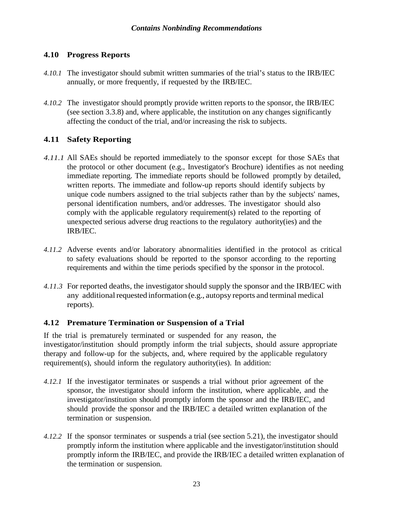## <span id="page-28-0"></span>**4.10 Progress Reports**

- *4.10.1* The investigator should submit written summaries of the trial's status to the IRB/IEC annually, or more frequently, if requested by the IRB/IEC.
- *4.10.2* The investigator should promptly provide written reports to the sponsor, the IRB/IEC (see section 3.3.8) and, where applicable, the institution on any changes significantly affecting the conduct of the trial, and/or increasing the risk to subjects.

## <span id="page-28-1"></span>**4.11 Safety Reporting**

- *4.11.1* All SAEs should be reported immediately to the sponsor except for those SAEs that the protocol or other document (e.g., Investigator's Brochure) identifies as not needing immediate reporting. The immediate reports should be followed promptly by detailed, written reports. The immediate and follow-up reports should identify subjects by unique code numbers assigned to the trial subjects rather than by the subjects' names, personal identification numbers, and/or addresses. The investigator should also comply with the applicable regulatory requirement(s) related to the reporting of unexpected serious adverse drug reactions to the regulatory authority(ies) and the IRB/IEC.
- *4.11.2* Adverse events and/or laboratory abnormalities identified in the protocol as critical to safety evaluations should be reported to the sponsor according to the reporting requirements and within the time periods specified by the sponsor in the protocol.
- *4.11.3* For reported deaths, the investigator should supply the sponsor and the IRB/IEC with any additional requested information (e.g., autopsy reports and terminal medical reports).

#### <span id="page-28-2"></span>**4.12 Premature Termination or Suspension of a Trial**

If the trial is prematurely terminated or suspended for any reason, the investigator/institution should promptly inform the trial subjects, should assure appropriate therapy and follow-up for the subjects, and, where required by the applicable regulatory requirement(s), should inform the regulatory authority(ies). In addition:

- *4.12.1* If the investigator terminates or suspends a trial without prior agreement of the sponsor, the investigator should inform the institution, where applicable, and the investigator/institution should promptly inform the sponsor and the IRB/IEC, and should provide the sponsor and the IRB/IEC a detailed written explanation of the termination or suspension.
- *4.12.2* If the sponsor terminates or suspends a trial (see section 5.21), the investigator should promptly inform the institution where applicable and the investigator/institution should promptly inform the IRB/IEC, and provide the IRB/IEC a detailed written explanation of the termination or suspension.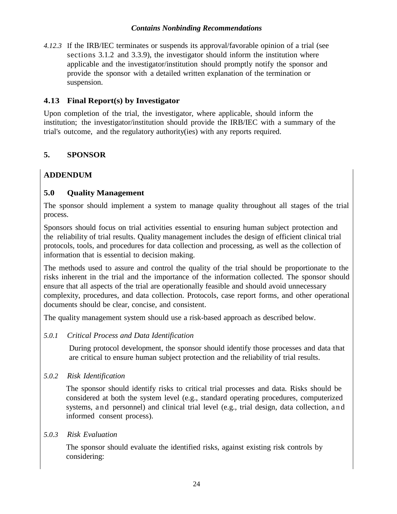*4.12.3* If the IRB/IEC terminates or suspends its approval/favorable opinion of a trial (see sections 3.1.2 and 3.3.9), the investigator should inform the institution where applicable and the investigator/institution should promptly notify the sponsor and provide the sponsor with a detailed written explanation of the termination or suspension.

#### <span id="page-29-0"></span>**4.13 Final Report(s) by Investigator**

Upon completion of the trial, the investigator, where applicable, should inform the institution; the investigator/institution should provide the IRB/IEC with a summary of the trial's outcome, and the regulatory authority(ies) with any reports required.

## <span id="page-29-1"></span>**5. SPONSOR**

## **ADDENDUM**

## <span id="page-29-2"></span>**5.0 Quality Management**

The sponsor should implement a system to manage quality throughout all stages of the trial process.

Sponsors should focus on trial activities essential to ensuring human subject protection and the reliability of trial results. Quality management includes the design of efficient clinical trial protocols, tools, and procedures for data collection and processing, as well as the collection of information that is essential to decision making.

The methods used to assure and control the quality of the trial should be proportionate to the risks inherent in the trial and the importance of the information collected. The sponsor should ensure that all aspects of the trial are operationally feasible and should avoid unnecessary complexity, procedures, and data collection. Protocols, case report forms, and other operational documents should be clear, concise, and consistent.

The quality management system should use a risk-based approach as described below.

*5.0.1 Critical Process and Data Identification*

During protocol development, the sponsor should identify those processes and data that are critical to ensure human subject protection and the reliability of trial results.

*5.0.2 Risk Identification*

The sponsor should identify risks to critical trial processes and data. Risks should be considered at both the system level (e.g., standard operating procedures, computerized systems, and personnel) and clinical trial level (e.g., trial design, data collection, and informed consent process).

*5.0.3 Risk Evaluation*

The sponsor should evaluate the identified risks, against existing risk controls by considering: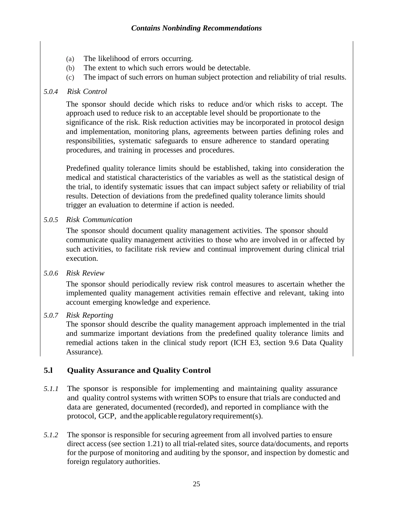- (a) The likelihood of errors occurring.
- (b) The extent to which such errors would be detectable.
- (c) The impact of such errors on human subject protection and reliability of trial results.

#### *5.0.4 Risk Control*

The sponsor should decide which risks to reduce and/or which risks to accept. The approach used to reduce risk to an acceptable level should be proportionate to the significance of the risk. Risk reduction activities may be incorporated in protocol design and implementation, monitoring plans, agreements between parties defining roles and responsibilities, systematic safeguards to ensure adherence to standard operating procedures, and training in processes and procedures.

Predefined quality tolerance limits should be established, taking into consideration the medical and statistical characteristics of the variables as well as the statistical design of the trial, to identify systematic issues that can impact subject safety or reliability of trial results. Detection of deviations from the predefined quality tolerance limits should trigger an evaluation to determine if action is needed.

*5.0.5 Risk Communication*

The sponsor should document quality management activities. The sponsor should communicate quality management activities to those who are involved in or affected by such activities, to facilitate risk review and continual improvement during clinical trial execution.

*5.0.6 Risk Review*

The sponsor should periodically review risk control measures to ascertain whether the implemented quality management activities remain effective and relevant, taking into account emerging knowledge and experience.

*5.0.7 Risk Reporting*

The sponsor should describe the quality management approach implemented in the trial and summarize important deviations from the predefined quality tolerance limits and remedial actions taken in the clinical study report (ICH E3, section 9.6 Data Quality Assurance).

## <span id="page-30-0"></span>**5.l Quality Assurance and Quality Control**

- *5.1.1* The sponsor is responsible for implementing and maintaining quality assurance and quality control systems with written SOPs to ensure that trials are conducted and data are generated, documented (recorded), and reported in compliance with the protocol, GCP, and the applicable regulatory requirement(s).
- *5.1.2* The sponsor is responsible for securing agreement from all involved parties to ensure direct access (see section 1.21) to all trial-related sites, source data/documents, and reports for the purpose of monitoring and auditing by the sponsor, and inspection by domestic and foreign regulatory authorities.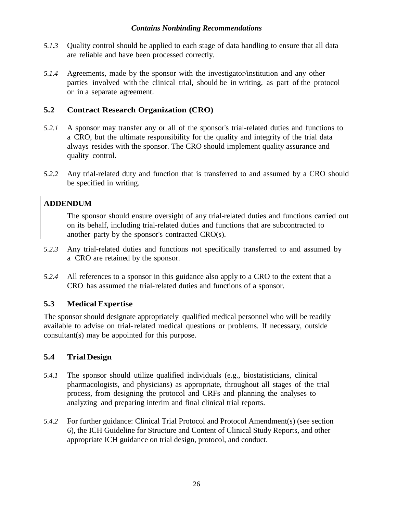- *5.1.3* Quality control should be applied to each stage of data handling to ensure that all data are reliable and have been processed correctly.
- *5.1.4* Agreements, made by the sponsor with the investigator/institution and any other parties involved with the clinical trial, should be in writing, as part of the protocol or in a separate agreement.

#### <span id="page-31-0"></span>**5.2 Contract Research Organization (CRO)**

- *5.2.1* A sponsor may transfer any or all of the sponsor's trial-related duties and functions to a CRO, but the ultimate responsibility for the quality and integrity of the trial data always resides with the sponsor. The CRO should implement quality assurance and quality control.
- *5.2.2* Any trial-related duty and function that is transferred to and assumed by a CRO should be specified in writing.

## **ADDENDUM**

The sponsor should ensure oversight of any trial-related duties and functions carried out on its behalf, including trial-related duties and functions that are subcontracted to another party by the sponsor's contracted CRO(s).

- *5.2.3* Any trial-related duties and functions not specifically transferred to and assumed by a CRO are retained by the sponsor.
- *5.2.4* All references to a sponsor in this guidance also apply to a CRO to the extent that a CRO has assumed the trial-related duties and functions of a sponsor.

## <span id="page-31-1"></span>**5.3 Medical Expertise**

The sponsor should designate appropriately qualified medical personnel who will be readily available to advise on trial-related medical questions or problems. If necessary, outside consultant(s) may be appointed for this purpose.

## <span id="page-31-2"></span>**5.4 Trial Design**

- *5.4.1* The sponsor should utilize qualified individuals (e.g., biostatisticians, clinical pharmacologists, and physicians) as appropriate, throughout all stages of the trial process, from designing the protocol and CRFs and planning the analyses to analyzing and preparing interim and final clinical trial reports.
- *5.4.2* For further guidance: Clinical Trial Protocol and Protocol Amendment(s) (see section 6), the ICH Guideline for Structure and Content of Clinical Study Reports, and other appropriate ICH guidance on trial design, protocol, and conduct.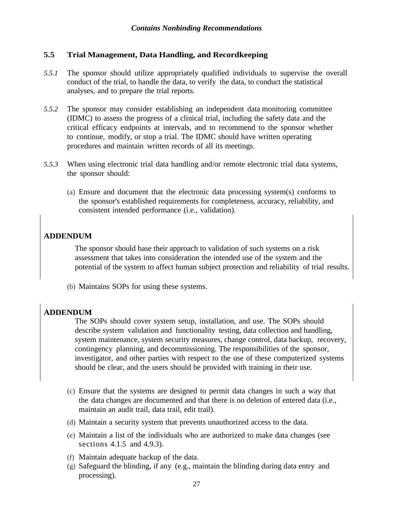#### <span id="page-32-0"></span>**5.5 Trial Management, Data Handling, and Recordkeeping**

- *5.5.1* The sponsor should utilize appropriately qualified individuals to supervise the overall conduct of the trial, to handle the data, to verify the data, to conduct the statistical analyses, and to prepare the trial reports.
- *5.5.2* The sponsor may consider establishing an independent data monitoring committee (IDMC) to assess the progress of a clinical trial, including the safety data and the critical efficacy endpoints at intervals, and to recommend to the sponsor whether to continue, modify, or stop a trial. The IDMC should have written operating procedures and maintain written records of all its meetings.
- *5.5.3* When using electronic trial data handling and/or remote electronic trial data systems, the sponsor should:
	- (a) Ensure and document that the electronic data processing system(s) conforms to the sponsor's established requirements for completeness, accuracy, reliability, and consistent intended performance (i.e., validation).

## **ADDENDUM**

The sponsor should base their approach to validation of such systems on a risk assessment that takes into consideration the intended use of the system and the potential of the system to affect human subject protection and reliability of trial results.

(b) Maintains SOPs for using these systems.

#### **ADDENDUM**

The SOPs should cover system setup, installation, and use. The SOPs should describe system validation and functionality testing, data collection and handling, system maintenance, system security measures, change control, data backup, recovery, contingency planning, and decommissioning. The responsibilities of the sponsor, investigator, and other parties with respect to the use of these computerized systems should be clear, and the users should be provided with training in their use.

- (c) Ensure that the systems are designed to permit data changes in such a way that the data changes are documented and that there is no deletion of entered data (i.e., maintain an audit trail, data trail, edit trail).
- (d) Maintain a security system that prevents unauthorized access to the data.
- (e) Maintain a list of the individuals who are authorized to make data changes (see sections 4.1.5 and 4.9.3).
- (f) Maintain adequate backup of the data.
- (g) Safeguard the blinding, if any (e.g., maintain the blinding during data entry and processing).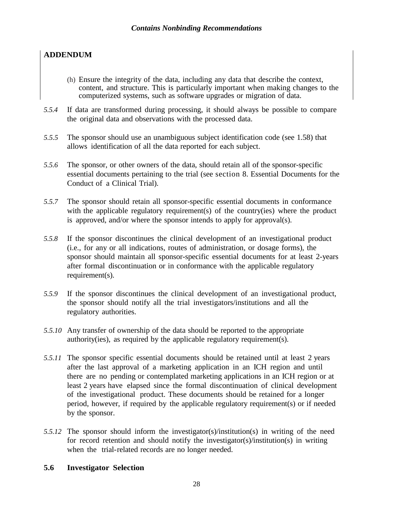## **ADDENDUM**

- (h) Ensure the integrity of the data, including any data that describe the context, content, and structure. This is particularly important when making changes to the computerized systems, such as software upgrades or migration of data.
- *5.5.4* If data are transformed during processing, it should always be possible to compare the original data and observations with the processed data.
- *5.5.5* The sponsor should use an unambiguous subject identification code (see 1.58) that allows identification of all the data reported for each subject.
- *5.5.6* The sponsor, or other owners of the data, should retain all of the sponsor-specific essential documents pertaining to the trial (see section 8. Essential Documents for the Conduct of a Clinical Trial).
- *5.5.7* The sponsor should retain all sponsor-specific essential documents in conformance with the applicable regulatory requirement(s) of the country(ies) where the product is approved, and/or where the sponsor intends to apply for approval(s).
- *5.5.8* If the sponsor discontinues the clinical development of an investigational product (i.e., for any or all indications, routes of administration, or dosage forms), the sponsor should maintain all sponsor-specific essential documents for at least 2-years after formal discontinuation or in conformance with the applicable regulatory requirement(s).
- *5.5.9* If the sponsor discontinues the clinical development of an investigational product, the sponsor should notify all the trial investigators/institutions and all the regulatory authorities.
- *5.5.10* Any transfer of ownership of the data should be reported to the appropriate authority(ies), as required by the applicable regulatory requirement(s).
- *5.5.11* The sponsor specific essential documents should be retained until at least 2 years after the last approval of a marketing application in an ICH region and until there are no pending or contemplated marketing applications in an ICH region or at least 2 years have elapsed since the formal discontinuation of clinical development of the investigational product. These documents should be retained for a longer period, however, if required by the applicable regulatory requirement(s) or if needed by the sponsor.
- *5.5.12* The sponsor should inform the investigator(s)/institution(s) in writing of the need for record retention and should notify the investigator(s)/institution(s) in writing when the trial-related records are no longer needed.

#### <span id="page-33-0"></span>**5.6 Investigator Selection**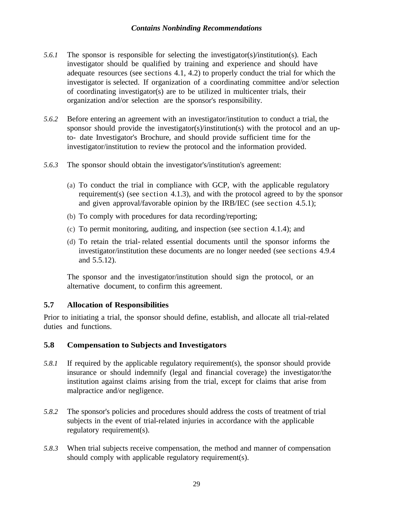- *5.6.1* The sponsor is responsible for selecting the investigator(s)/institution(s). Each investigator should be qualified by training and experience and should have adequate resources (see sections 4.1, 4.2) to properly conduct the trial for which the investigator is selected. If organization of a coordinating committee and/or selection of coordinating investigator(s) are to be utilized in multicenter trials, their organization and/or selection are the sponsor's responsibility.
- *5.6.2* Before entering an agreement with an investigator/institution to conduct a trial, the sponsor should provide the investigator(s)/institution(s) with the protocol and an upto- date Investigator's Brochure, and should provide sufficient time for the investigator/institution to review the protocol and the information provided.
- *5.6.3* The sponsor should obtain the investigator's/institution's agreement:
	- (a) To conduct the trial in compliance with GCP, with the applicable regulatory requirement(s) (see section 4.1.3), and with the protocol agreed to by the sponsor and given approval/favorable opinion by the IRB/IEC (see section 4.5.1);
	- (b) To comply with procedures for data recording/reporting;
	- (c) To permit monitoring, auditing, and inspection (see section 4.1.4); and
	- (d) To retain the trial- related essential documents until the sponsor informs the investigator/institution these documents are no longer needed (see sections 4.9.4 and 5.5.12).

The sponsor and the investigator/institution should sign the protocol, or an alternative document, to confirm this agreement.

#### <span id="page-34-0"></span>**5.7 Allocation of Responsibilities**

Prior to initiating a trial, the sponsor should define, establish, and allocate all trial-related duties and functions.

#### <span id="page-34-1"></span>**5.8 Compensation to Subjects and Investigators**

- *5.8.1* If required by the applicable regulatory requirement(s), the sponsor should provide insurance or should indemnify (legal and financial coverage) the investigator/the institution against claims arising from the trial, except for claims that arise from malpractice and/or negligence.
- *5.8.2* The sponsor's policies and procedures should address the costs of treatment of trial subjects in the event of trial-related injuries in accordance with the applicable regulatory requirement(s).
- *5.8.3* When trial subjects receive compensation, the method and manner of compensation should comply with applicable regulatory requirement(s).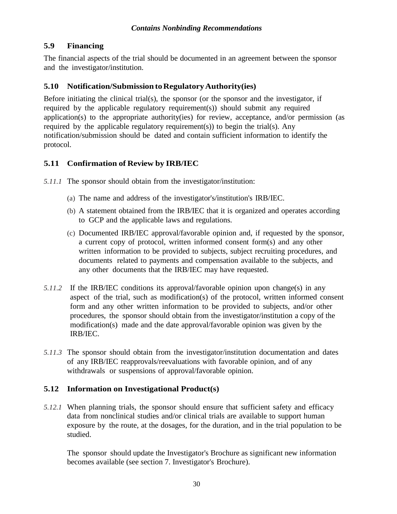## <span id="page-35-0"></span>**5.9 Financing**

The financial aspects of the trial should be documented in an agreement between the sponsor and the investigator/institution.

#### <span id="page-35-1"></span>**5.10 Notification/SubmissiontoRegulatoryAuthority(ies)**

Before initiating the clinical trial(s), the sponsor (or the sponsor and the investigator, if required by the applicable regulatory requirement(s)) should submit any required application(s) to the appropriate authority(ies) for review, acceptance, and/or permission (as required by the applicable regulatory requirement(s)) to begin the trial(s). Any notification/submission should be dated and contain sufficient information to identify the protocol.

#### <span id="page-35-2"></span>**5.11 Confirmation of Review by IRB/IEC**

- *5.11.1* The sponsor should obtain from the investigator/institution:
	- (a) The name and address of the investigator's/institution's IRB/IEC.
	- (b) A statement obtained from the IRB/IEC that it is organized and operates according to GCP and the applicable laws and regulations.
	- (c) Documented IRB/IEC approval/favorable opinion and, if requested by the sponsor, a current copy of protocol, written informed consent form(s) and any other written information to be provided to subjects, subject recruiting procedures, and documents related to payments and compensation available to the subjects, and any other documents that the IRB/IEC may have requested.
- *5.11.2* If the IRB/IEC conditions its approval/favorable opinion upon change(s) in any aspect of the trial, such as modification(s) of the protocol, written informed consent form and any other written information to be provided to subjects, and/or other procedures, the sponsor should obtain from the investigator/institution a copy of the modification(s) made and the date approval/favorable opinion was given by the IRB/IEC.
- *5.11.3* The sponsor should obtain from the investigator/institution documentation and dates of any IRB/IEC reapprovals/reevaluations with favorable opinion, and of any withdrawals or suspensions of approval/favorable opinion.

#### <span id="page-35-3"></span>**5.12 Information on Investigational Product(s)**

*5.12.1* When planning trials, the sponsor should ensure that sufficient safety and efficacy data from nonclinical studies and/or clinical trials are available to support human exposure by the route, at the dosages, for the duration, and in the trial population to be studied.

The sponsor should update the Investigator's Brochure as significant new information becomes available (see section 7. Investigator's Brochure).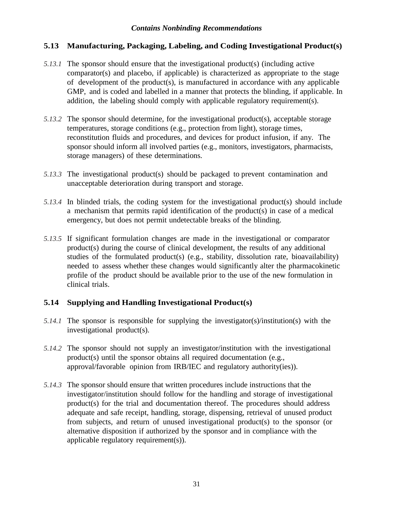#### <span id="page-36-0"></span>**5.13 Manufacturing, Packaging, Labeling, and Coding Investigational Product(s)**

- *5.13.1* The sponsor should ensure that the investigational product(s) (including active comparator(s) and placebo, if applicable) is characterized as appropriate to the stage of development of the product(s), is manufactured in accordance with any applicable GMP, and is coded and labelled in a manner that protects the blinding, if applicable. In addition, the labeling should comply with applicable regulatory requirement(s).
- *5.13.2* The sponsor should determine, for the investigational product(s), acceptable storage temperatures, storage conditions (e.g., protection from light), storage times, reconstitution fluids and procedures, and devices for product infusion, if any. The sponsor should inform all involved parties (e.g., monitors, investigators, pharmacists, storage managers) of these determinations.
- *5.13.3* The investigational product(s) should be packaged to prevent contamination and unacceptable deterioration during transport and storage.
- *5.13.4* In blinded trials, the coding system for the investigational product(s) should include a mechanism that permits rapid identification of the product(s) in case of a medical emergency, but does not permit undetectable breaks of the blinding.
- *5.13.5* If significant formulation changes are made in the investigational or comparator product(s) during the course of clinical development, the results of any additional studies of the formulated product(s) (e.g., stability, dissolution rate, bioavailability) needed to assess whether these changes would significantly alter the pharmacokinetic profile of the product should be available prior to the use of the new formulation in clinical trials.

#### <span id="page-36-1"></span>**5.14 Supplying and Handling Investigational Product(s)**

- *5.14.1* The sponsor is responsible for supplying the investigator(s)/institution(s) with the investigational product(s).
- *5.14.2* The sponsor should not supply an investigator/institution with the investigational product(s) until the sponsor obtains all required documentation (e.g., approval/favorable opinion from IRB/IEC and regulatory authority(ies)).
- *5.14.3* The sponsor should ensure that written procedures include instructions that the investigator/institution should follow for the handling and storage of investigational product(s) for the trial and documentation thereof. The procedures should address adequate and safe receipt, handling, storage, dispensing, retrieval of unused product from subjects, and return of unused investigational product(s) to the sponsor (or alternative disposition if authorized by the sponsor and in compliance with the applicable regulatory requirement(s)).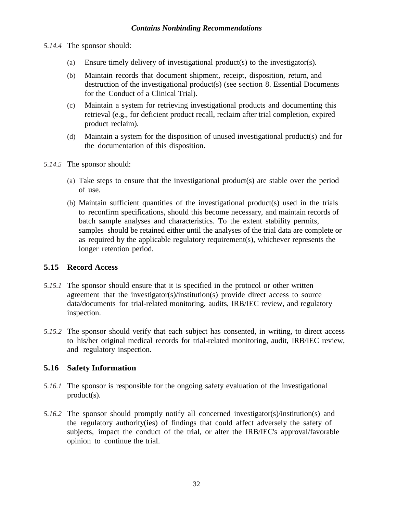- *5.14.4* The sponsor should:
	- (a) Ensure timely delivery of investigational product(s) to the investigator(s).
	- (b) Maintain records that document shipment, receipt, disposition, return, and destruction of the investigational product(s) (see section 8. Essential Documents for the Conduct of a Clinical Trial).
	- (c) Maintain a system for retrieving investigational products and documenting this retrieval (e.g., for deficient product recall, reclaim after trial completion, expired product reclaim).
	- (d) Maintain a system for the disposition of unused investigational product(s) and for the documentation of this disposition.
- *5.14.5* The sponsor should:
	- (a) Take steps to ensure that the investigational product(s) are stable over the period of use.
	- (b) Maintain sufficient quantities of the investigational product(s) used in the trials to reconfirm specifications, should this become necessary, and maintain records of batch sample analyses and characteristics. To the extent stability permits, samples should be retained either until the analyses of the trial data are complete or as required by the applicable regulatory requirement(s), whichever represents the longer retention period.

#### <span id="page-37-0"></span>**5.15 Record Access**

- *5.15.1* The sponsor should ensure that it is specified in the protocol or other written agreement that the investigator(s)/institution(s) provide direct access to source data/documents for trial-related monitoring, audits, IRB/IEC review, and regulatory inspection.
- *5.15.2* The sponsor should verify that each subject has consented, in writing, to direct access to his/her original medical records for trial-related monitoring, audit, IRB/IEC review, and regulatory inspection.

## <span id="page-37-1"></span>**5.16 Safety Information**

- *5.16.1* The sponsor is responsible for the ongoing safety evaluation of the investigational product(s).
- *5.16.2* The sponsor should promptly notify all concerned investigator(s)/institution(s) and the regulatory authority(ies) of findings that could affect adversely the safety of subjects, impact the conduct of the trial, or alter the IRB/IEC's approval/favorable opinion to continue the trial.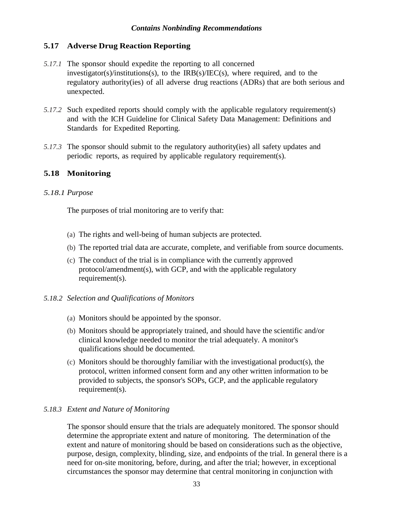## <span id="page-38-0"></span>**5.17 Adverse Drug Reaction Reporting**

- *5.17.1* The sponsor should expedite the reporting to all concerned investigator(s)/institutions(s), to the  $IRB(s)/IEC(s)$ , where required, and to the regulatory authority(ies) of all adverse drug reactions (ADRs) that are both serious and unexpected.
- *5.17.2* Such expedited reports should comply with the applicable regulatory requirement(s) and with the ICH Guideline for Clinical Safety Data Management: Definitions and Standards for Expedited Reporting.
- *5.17.3* The sponsor should submit to the regulatory authority(ies) all safety updates and periodic reports, as required by applicable regulatory requirement(s).

## <span id="page-38-1"></span>**5.18 Monitoring**

#### <span id="page-38-2"></span>*5.18.1 Purpose*

The purposes of trial monitoring are to verify that:

- (a) The rights and well-being of human subjects are protected.
- (b) The reported trial data are accurate, complete, and verifiable from source documents.
- (c) The conduct of the trial is in compliance with the currently approved protocol/amendment(s), with GCP, and with the applicable regulatory requirement(s).

#### <span id="page-38-3"></span>*5.18.2 Selection and Qualifications of Monitors*

- (a) Monitors should be appointed by the sponsor.
- (b) Monitors should be appropriately trained, and should have the scientific and/or clinical knowledge needed to monitor the trial adequately. A monitor's qualifications should be documented.
- (c) Monitors should be thoroughly familiar with the investigational product(s), the protocol, written informed consent form and any other written information to be provided to subjects, the sponsor's SOPs, GCP, and the applicable regulatory requirement(s).

#### <span id="page-38-4"></span>*5.18.3 Extent and Nature of Monitoring*

The sponsor should ensure that the trials are adequately monitored. The sponsor should determine the appropriate extent and nature of monitoring. The determination of the extent and nature of monitoring should be based on considerations such as the objective, purpose, design, complexity, blinding, size, and endpoints of the trial. In general there is a need for on-site monitoring, before, during, and after the trial; however, in exceptional circumstances the sponsor may determine that central monitoring in conjunction with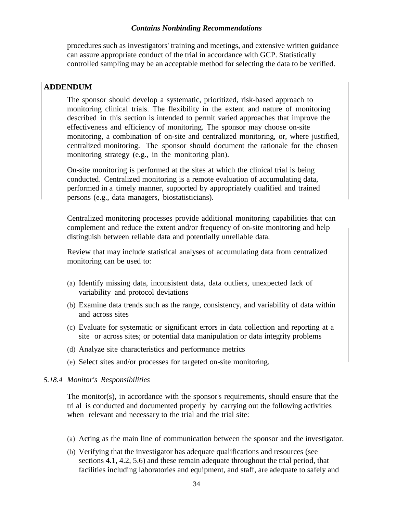procedures such as investigators' training and meetings, and extensive written guidance can assure appropriate conduct of the trial in accordance with GCP. Statistically controlled sampling may be an acceptable method for selecting the data to be verified.

#### **ADDENDUM**

The sponsor should develop a systematic, prioritized, risk-based approach to monitoring clinical trials. The flexibility in the extent and nature of monitoring described in this section is intended to permit varied approaches that improve the effectiveness and efficiency of monitoring. The sponsor may choose on-site monitoring, a combination of on-site and centralized monitoring, or, where justified, centralized monitoring. The sponsor should document the rationale for the chosen monitoring strategy (e.g., in the monitoring plan).

On-site monitoring is performed at the sites at which the clinical trial is being conducted. Centralized monitoring is a remote evaluation of accumulating data, performed in a timely manner, supported by appropriately qualified and trained persons (e.g., data managers, biostatisticians).

Centralized monitoring processes provide additional monitoring capabilities that can complement and reduce the extent and/or frequency of on-site monitoring and help distinguish between reliable data and potentially unreliable data.

Review that may include statistical analyses of accumulating data from centralized monitoring can be used to:

- (a) Identify missing data, inconsistent data, data outliers, unexpected lack of variability and protocol deviations
- (b) Examine data trends such as the range, consistency, and variability of data within and across sites
- (c) Evaluate for systematic or significant errors in data collection and reporting at a site or across sites; or potential data manipulation or data integrity problems
- (d) Analyze site characteristics and performance metrics
- (e) Select sites and/or processes for targeted on-site monitoring.

#### <span id="page-39-0"></span>*5.18.4 Monitor's Responsibilities*

The monitor(s), in accordance with the sponsor's requirements, should ensure that the tri al is conducted and documented properly by carrying out the following activities when relevant and necessary to the trial and the trial site:

- (a) Acting as the main line of communication between the sponsor and the investigator.
- (b) Verifying that the investigator has adequate qualifications and resources (see sections 4.1, 4.2, 5.6) and these remain adequate throughout the trial period, that facilities including laboratories and equipment, and staff, are adequate to safely and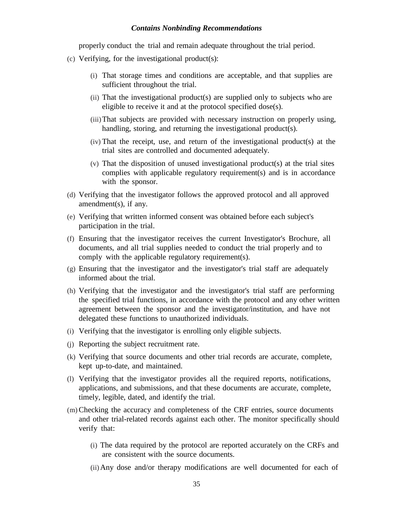properly conduct the trial and remain adequate throughout the trial period.

- (c) Verifying, for the investigational product(s):
	- (i) That storage times and conditions are acceptable, and that supplies are sufficient throughout the trial.
	- (ii) That the investigational product(s) are supplied only to subjects who are eligible to receive it and at the protocol specified dose(s).
	- (iii)That subjects are provided with necessary instruction on properly using, handling, storing, and returning the investigational product(s).
	- (iv) That the receipt, use, and return of the investigational product(s) at the trial sites are controlled and documented adequately.
	- (v) That the disposition of unused investigational product(s) at the trial sites complies with applicable regulatory requirement(s) and is in accordance with the sponsor.
- (d) Verifying that the investigator follows the approved protocol and all approved amendment(s), if any.
- (e) Verifying that written informed consent was obtained before each subject's participation in the trial.
- (f) Ensuring that the investigator receives the current Investigator's Brochure, all documents, and all trial supplies needed to conduct the trial properly and to comply with the applicable regulatory requirement(s).
- (g) Ensuring that the investigator and the investigator's trial staff are adequately informed about the trial.
- (h) Verifying that the investigator and the investigator's trial staff are performing the specified trial functions, in accordance with the protocol and any other written agreement between the sponsor and the investigator/institution, and have not delegated these functions to unauthorized individuals.
- (i) Verifying that the investigator is enrolling only eligible subjects.
- (j) Reporting the subject recruitment rate.
- (k) Verifying that source documents and other trial records are accurate, complete, kept up-to-date, and maintained.
- (l) Verifying that the investigator provides all the required reports, notifications, applications, and submissions, and that these documents are accurate, complete, timely, legible, dated, and identify the trial.
- (m)Checking the accuracy and completeness of the CRF entries, source documents and other trial-related records against each other. The monitor specifically should verify that:
	- (i) The data required by the protocol are reported accurately on the CRFs and are consistent with the source documents.
	- (ii)Any dose and/or therapy modifications are well documented for each of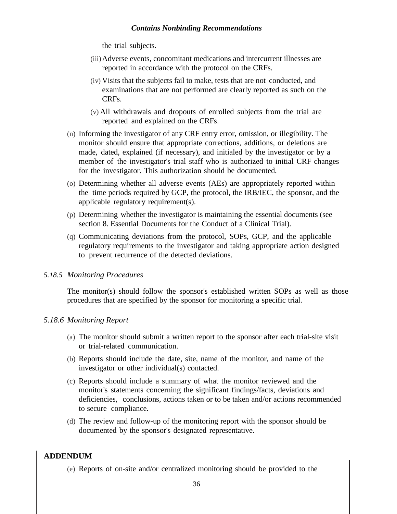the trial subjects.

- (iii)Adverse events, concomitant medications and intercurrent illnesses are reported in accordance with the protocol on the CRFs.
- (iv) Visits that the subjects fail to make, tests that are not conducted, and examinations that are not performed are clearly reported as such on the CRFs.
- (v) All withdrawals and dropouts of enrolled subjects from the trial are reported and explained on the CRFs.
- (n) Informing the investigator of any CRF entry error, omission, or illegibility. The monitor should ensure that appropriate corrections, additions, or deletions are made, dated, explained (if necessary), and initialed by the investigator or by a member of the investigator's trial staff who is authorized to initial CRF changes for the investigator. This authorization should be documented.
- (o) Determining whether all adverse events (AEs) are appropriately reported within the time periods required by GCP, the protocol, the IRB/IEC, the sponsor, and the applicable regulatory requirement(s).
- (p) Determining whether the investigator is maintaining the essential documents (see section 8. Essential Documents for the Conduct of a Clinical Trial).
- (q) Communicating deviations from the protocol, SOPs, GCP, and the applicable regulatory requirements to the investigator and taking appropriate action designed to prevent recurrence of the detected deviations.

#### <span id="page-41-0"></span>*5.18.5 Monitoring Procedures*

The monitor(s) should follow the sponsor's established written SOPs as well as those procedures that are specified by the sponsor for monitoring a specific trial.

#### <span id="page-41-1"></span>*5.18.6 Monitoring Report*

- (a) The monitor should submit a written report to the sponsor after each trial-site visit or trial-related communication.
- (b) Reports should include the date, site, name of the monitor, and name of the investigator or other individual(s) contacted.
- (c) Reports should include a summary of what the monitor reviewed and the monitor's statements concerning the significant findings/facts, deviations and deficiencies, conclusions, actions taken or to be taken and/or actions recommended to secure compliance.
- (d) The review and follow-up of the monitoring report with the sponsor should be documented by the sponsor's designated representative.

#### **ADDENDUM**

(e) Reports of on-site and/or centralized monitoring should be provided to the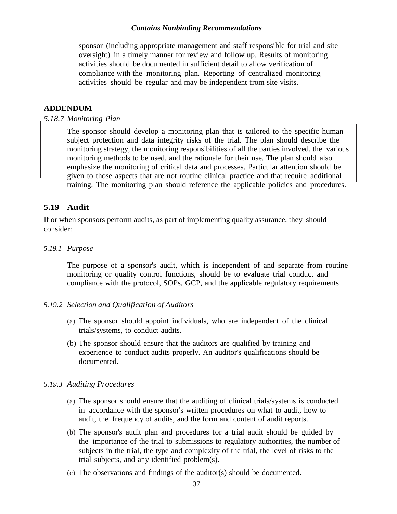sponsor (including appropriate management and staff responsible for trial and site oversight) in a timely manner for review and follow up. Results of monitoring activities should be documented in sufficient detail to allow verification of compliance with the monitoring plan. Reporting of centralized monitoring activities should be regular and may be independent from site visits.

#### **ADDENDUM**

#### <span id="page-42-0"></span>*5.18.7 Monitoring Plan*

The sponsor should develop a monitoring plan that is tailored to the specific human subject protection and data integrity risks of the trial. The plan should describe the monitoring strategy, the monitoring responsibilities of all the parties involved, the various monitoring methods to be used, and the rationale for their use. The plan should also emphasize the monitoring of critical data and processes. Particular attention should be given to those aspects that are not routine clinical practice and that require additional training. The monitoring plan should reference the applicable policies and procedures.

#### <span id="page-42-1"></span>**5.19 Audit**

If or when sponsors perform audits, as part of implementing quality assurance, they should consider:

#### <span id="page-42-2"></span>*5.19.1 Purpose*

The purpose of a sponsor's audit, which is independent of and separate from routine monitoring or quality control functions, should be to evaluate trial conduct and compliance with the protocol, SOPs, GCP, and the applicable regulatory requirements.

#### <span id="page-42-3"></span>*5.19.2 Selection and Qualification of Auditors*

- (a) The sponsor should appoint individuals, who are independent of the clinical trials/systems, to conduct audits.
- (b) The sponsor should ensure that the auditors are qualified by training and experience to conduct audits properly. An auditor's qualifications should be documented.

#### <span id="page-42-4"></span>*5.19.3 Auditing Procedures*

- (a) The sponsor should ensure that the auditing of clinical trials/systems is conducted in accordance with the sponsor's written procedures on what to audit, how to audit, the frequency of audits, and the form and content of audit reports.
- (b) The sponsor's audit plan and procedures for a trial audit should be guided by the importance of the trial to submissions to regulatory authorities, the number of subjects in the trial, the type and complexity of the trial, the level of risks to the trial subjects, and any identified problem(s).
- (c) The observations and findings of the auditor(s) should be documented.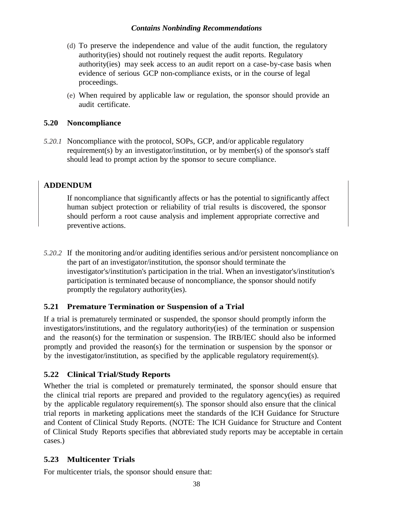- (d) To preserve the independence and value of the audit function, the regulatory authority(ies) should not routinely request the audit reports. Regulatory authority(ies) may seek access to an audit report on a case-by-case basis when evidence of serious GCP non-compliance exists, or in the course of legal proceedings.
- (e) When required by applicable law or regulation, the sponsor should provide an audit certificate.

#### <span id="page-43-0"></span>**5.20 Noncompliance**

*5.20.1* Noncompliance with the protocol, SOPs, GCP, and/or applicable regulatory requirement(s) by an investigator/institution, or by member(s) of the sponsor's staff should lead to prompt action by the sponsor to secure compliance.

## **ADDENDUM**

If noncompliance that significantly affects or has the potential to significantly affect human subject protection or reliability of trial results is discovered, the sponsor should perform a root cause analysis and implement appropriate corrective and preventive actions.

*5.20.2* If the monitoring and/or auditing identifies serious and/or persistent noncompliance on the part of an investigator/institution, the sponsor should terminate the investigator's/institution's participation in the trial. When an investigator's/institution's participation is terminated because of noncompliance, the sponsor should notify promptly the regulatory authority(ies).

## <span id="page-43-1"></span>**5.21 Premature Termination or Suspension of a Trial**

If a trial is prematurely terminated or suspended, the sponsor should promptly inform the investigators/institutions, and the regulatory authority(ies) of the termination or suspension and the reason(s) for the termination or suspension. The IRB/IEC should also be informed promptly and provided the reason(s) for the termination or suspension by the sponsor or by the investigator/institution, as specified by the applicable regulatory requirement(s).

## <span id="page-43-2"></span>**5.22 Clinical Trial/Study Reports**

Whether the trial is completed or prematurely terminated, the sponsor should ensure that the clinical trial reports are prepared and provided to the regulatory agency(ies) as required by the applicable regulatory requirement(s). The sponsor should also ensure that the clinical trial reports in marketing applications meet the standards of the ICH Guidance for Structure and Content of Clinical Study Reports. (NOTE: The ICH Guidance for Structure and Content of Clinical Study Reports specifies that abbreviated study reports may be acceptable in certain cases.)

#### <span id="page-43-3"></span>**5.23 Multicenter Trials**

For multicenter trials, the sponsor should ensure that: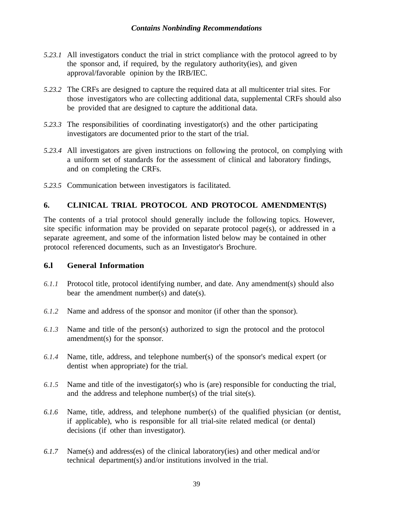- *5.23.1* All investigators conduct the trial in strict compliance with the protocol agreed to by the sponsor and, if required, by the regulatory authority(ies), and given approval/favorable opinion by the IRB/IEC.
- *5.23.2* The CRFs are designed to capture the required data at all multicenter trial sites. For those investigators who are collecting additional data, supplemental CRFs should also be provided that are designed to capture the additional data.
- *5.23.3* The responsibilities of coordinating investigator(s) and the other participating investigators are documented prior to the start of the trial.
- *5.23.4* All investigators are given instructions on following the protocol, on complying with a uniform set of standards for the assessment of clinical and laboratory findings, and on completing the CRFs.
- *5.23.5* Communication between investigators is facilitated.

## <span id="page-44-0"></span>**6. CLINICAL TRIAL PROTOCOL AND PROTOCOL AMENDMENT(S)**

The contents of a trial protocol should generally include the following topics. However, site specific information may be provided on separate protocol page(s), or addressed in a separate agreement, and some of the information listed below may be contained in other protocol referenced documents, such as an Investigator's Brochure.

#### <span id="page-44-1"></span>**6.l General Information**

- *6.1.1* Protocol title, protocol identifying number, and date. Any amendment(s) should also bear the amendment number(s) and date(s).
- *6.1.2* Name and address of the sponsor and monitor (if other than the sponsor).
- *6.1.3* Name and title of the person(s) authorized to sign the protocol and the protocol amendment(s) for the sponsor.
- *6.1.4* Name, title, address, and telephone number(s) of the sponsor's medical expert (or dentist when appropriate) for the trial.
- *6.1.5* Name and title of the investigator(s) who is (are) responsible for conducting the trial, and the address and telephone number(s) of the trial site(s).
- *6.1.6* Name, title, address, and telephone number(s) of the qualified physician (or dentist, if applicable), who is responsible for all trial-site related medical (or dental) decisions (if other than investigator).
- *6.1.7* Name(s) and address(es) of the clinical laboratory(ies) and other medical and/or technical department(s) and/or institutions involved in the trial.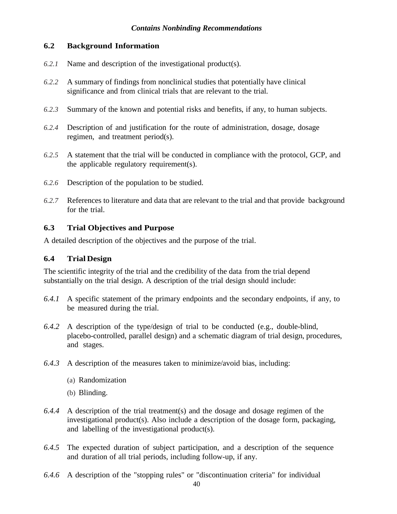#### <span id="page-45-0"></span>**6.2 Background Information**

- *6.2.1* Name and description of the investigational product(s).
- *6.2.2* A summary of findings from nonclinical studies that potentially have clinical significance and from clinical trials that are relevant to the trial.
- *6.2.3* Summary of the known and potential risks and benefits, if any, to human subjects.
- *6.2.4* Description of and justification for the route of administration, dosage, dosage regimen, and treatment period(s).
- *6.2.5* A statement that the trial will be conducted in compliance with the protocol, GCP, and the applicable regulatory requirement(s).
- *6.2.6* Description of the population to be studied.
- *6.2.7* References to literature and data that are relevant to the trial and that provide background for the trial.

#### <span id="page-45-1"></span>**6.3 Trial Objectives and Purpose**

A detailed description of the objectives and the purpose of the trial.

#### <span id="page-45-2"></span>**6.4 Trial Design**

The scientific integrity of the trial and the credibility of the data from the trial depend substantially on the trial design. A description of the trial design should include:

- *6.4.1* A specific statement of the primary endpoints and the secondary endpoints, if any, to be measured during the trial.
- *6.4.2* A description of the type/design of trial to be conducted (e.g., double-blind, placebo-controlled, parallel design) and a schematic diagram of trial design, procedures, and stages.
- *6.4.3* A description of the measures taken to minimize/avoid bias, including:
	- (a) Randomization
	- (b) Blinding.
- *6.4.4* A description of the trial treatment(s) and the dosage and dosage regimen of the investigational product(s). Also include a description of the dosage form, packaging, and labelling of the investigational product(s).
- *6.4.5* The expected duration of subject participation, and a description of the sequence and duration of all trial periods, including follow-up, if any.
- *6.4.6* A description of the "stopping rules" or "discontinuation criteria" for individual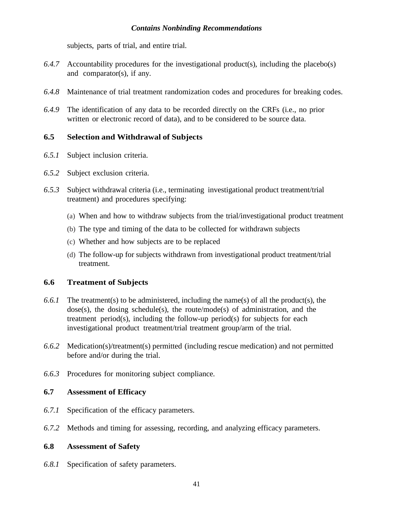subjects, parts of trial, and entire trial.

- *6.4.7* Accountability procedures for the investigational product(s), including the placebo(s) and comparator(s), if any.
- *6.4.8* Maintenance of trial treatment randomization codes and procedures for breaking codes.
- *6.4.9* The identification of any data to be recorded directly on the CRFs (i.e., no prior written or electronic record of data), and to be considered to be source data.

#### <span id="page-46-0"></span>**6.5 Selection and Withdrawal of Subjects**

- *6.5.1* Subject inclusion criteria.
- *6.5.2* Subject exclusion criteria.
- *6.5.3* Subject withdrawal criteria (i.e., terminating investigational product treatment/trial treatment) and procedures specifying:
	- (a) When and how to withdraw subjects from the trial/investigational product treatment
	- (b) The type and timing of the data to be collected for withdrawn subjects
	- (c) Whether and how subjects are to be replaced
	- (d) The follow-up for subjects withdrawn from investigational product treatment/trial treatment.

#### <span id="page-46-1"></span>**6.6 Treatment of Subjects**

- 6.6.1 The treatment(s) to be administered, including the name(s) of all the product(s), the dose(s), the dosing schedule(s), the route/mode(s) of administration, and the treatment period(s), including the follow-up period(s) for subjects for each investigational product treatment/trial treatment group/arm of the trial.
- *6.6.2* Medication(s)/treatment(s) permitted (including rescue medication) and not permitted before and/or during the trial.
- *6.6.3* Procedures for monitoring subject compliance.

#### <span id="page-46-2"></span>**6.7 Assessment of Efficacy**

- *6.7.1* Specification of the efficacy parameters.
- *6.7.2* Methods and timing for assessing, recording, and analyzing efficacy parameters.

#### <span id="page-46-3"></span>**6.8 Assessment of Safety**

*6.8.1* Specification of safety parameters.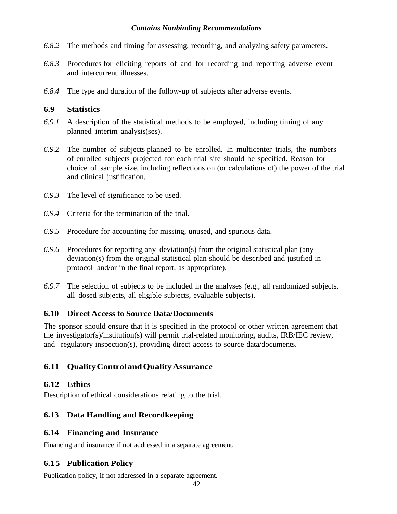- *6.8.2* The methods and timing for assessing, recording, and analyzing safety parameters.
- *6.8.3* Procedures for eliciting reports of and for recording and reporting adverse event and intercurrent illnesses.
- *6.8.4* The type and duration of the follow-up of subjects after adverse events.

#### <span id="page-47-0"></span>**6.9 Statistics**

- *6.9.1* A description of the statistical methods to be employed, including timing of any planned interim analysis(ses).
- *6.9.2* The number of subjects planned to be enrolled. In multicenter trials, the numbers of enrolled subjects projected for each trial site should be specified. Reason for choice of sample size, including reflections on (or calculations of) the power of the trial and clinical justification.
- *6.9.3* The level of significance to be used.
- *6.9.4* Criteria for the termination of the trial.
- *6.9.5* Procedure for accounting for missing, unused, and spurious data.
- *6.9.6* Procedures for reporting any deviation(s) from the original statistical plan (any deviation(s) from the original statistical plan should be described and justified in protocol and/or in the final report, as appropriate).
- *6.9.7* The selection of subjects to be included in the analyses (e.g., all randomized subjects, all dosed subjects, all eligible subjects, evaluable subjects).

#### <span id="page-47-1"></span>**6.10 Direct Access to Source Data/Documents**

The sponsor should ensure that it is specified in the protocol or other written agreement that the investigator(s)/institution(s) will permit trial-related monitoring, audits, IRB/IEC review, and regulatory inspection(s), providing direct access to source data/documents.

#### <span id="page-47-2"></span>**6.11 QualityControlandQualityAssurance**

#### <span id="page-47-3"></span>**6.12 Ethics**

Description of ethical considerations relating to the trial.

#### <span id="page-47-4"></span>**6.13 Data Handling and Recordkeeping**

#### <span id="page-47-5"></span>**6.14 Financing and Insurance**

Financing and insurance if not addressed in a separate agreement.

#### <span id="page-47-6"></span>**6.1 5 Publication Policy**

Publication policy, if not addressed in a separate agreement.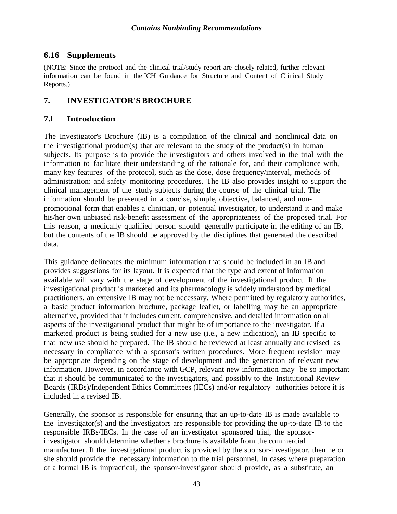## <span id="page-48-0"></span>**6.16 Supplements**

(NOTE: Since the protocol and the clinical trial/study report are closely related, further relevant information can be found in the ICH Guidance for Structure and Content of Clinical Study Reports.)

## <span id="page-48-1"></span>**7. INVESTIGATOR'SBROCHURE**

#### <span id="page-48-2"></span>**7.l Introduction**

The Investigator's Brochure (IB) is a compilation of the clinical and nonclinical data on the investigational product(s) that are relevant to the study of the product(s) in human subjects. Its purpose is to provide the investigators and others involved in the trial with the information to facilitate their understanding of the rationale for, and their compliance with, many key features of the protocol, such as the dose, dose frequency/interval, methods of administration: and safety monitoring procedures. The IB also provides insight to support the clinical management of the study subjects during the course of the clinical trial. The information should be presented in a concise, simple, objective, balanced, and nonpromotional form that enables a clinician, or potential investigator, to understand it and make his/her own unbiased risk-benefit assessment of the appropriateness of the proposed trial. For this reason, a medically qualified person should generally participate in the editing of an IB, but the contents of the IB should be approved by the disciplines that generated the described data.

This guidance delineates the minimum information that should be included in an IB and provides suggestions for its layout. It is expected that the type and extent of information available will vary with the stage of development of the investigational product. If the investigational product is marketed and its pharmacology is widely understood by medical practitioners, an extensive IB may not be necessary. Where permitted by regulatory authorities, a basic product information brochure, package leaflet, or labelling may be an appropriate alternative, provided that it includes current, comprehensive, and detailed information on all aspects of the investigational product that might be of importance to the investigator. If a marketed product is being studied for a new use (i.e., a new indication), an IB specific to that new use should be prepared. The IB should be reviewed at least annually and revised as necessary in compliance with a sponsor's written procedures. More frequent revision may be appropriate depending on the stage of development and the generation of relevant new information. However, in accordance with GCP, relevant new information may be so important that it should be communicated to the investigators, and possibly to the Institutional Review Boards (IRBs)/Independent Ethics Committees (IECs) and/or regulatory authorities before it is included in a revised IB.

Generally, the sponsor is responsible for ensuring that an up-to-date IB is made available to the investigator(s) and the investigators are responsible for providing the up-to-date IB to the responsible IRBs/IECs. In the case of an investigator sponsored trial, the sponsorinvestigator should determine whether a brochure is available from the commercial manufacturer. If the investigational product is provided by the sponsor-investigator, then he or she should provide the necessary information to the trial personnel. In cases where preparation of a formal IB is impractical, the sponsor-investigator should provide, as a substitute, an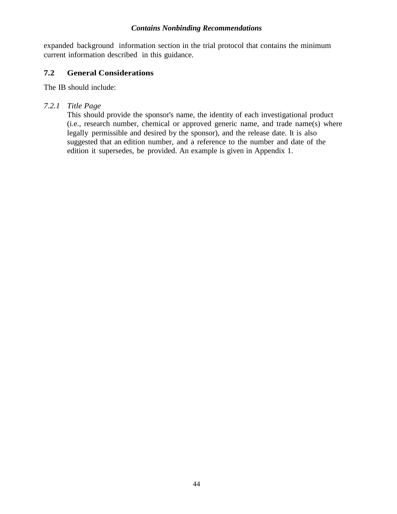expanded background information section in the trial protocol that contains the minimum current information described in this guidance.

## <span id="page-49-0"></span>**7.2 General Considerations**

The IB should include:

## <span id="page-49-1"></span>*7.2.1 Title Page*

This should provide the sponsor's name, the identity of each investigational product (i.e., research number, chemical or approved generic name, and trade name(s) where legally permissible and desired by the sponsor), and the release date. It is also suggested that an edition number, and a reference to the number and date of the edition it supersedes, be provided. An example is given in Appendix 1.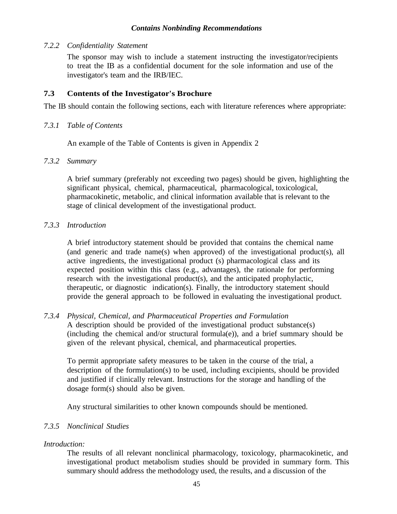#### <span id="page-50-0"></span>*7.2.2 Confidentiality Statement*

The sponsor may wish to include a statement instructing the investigator/recipients to treat the IB as a confidential document for the sole information and use of the investigator's team and the IRB/IEC.

#### <span id="page-50-1"></span>**7.3 Contents of the Investigator's Brochure**

The IB should contain the following sections, each with literature references where appropriate:

#### <span id="page-50-2"></span>*7.3.1 Table of Contents*

An example of the Table of Contents is given in Appendix 2

#### <span id="page-50-3"></span>*7.3.2 Summary*

A brief summary (preferably not exceeding two pages) should be given, highlighting the significant physical, chemical, pharmaceutical, pharmacological, toxicological, pharmacokinetic, metabolic, and clinical information available that is relevant to the stage of clinical development of the investigational product.

#### <span id="page-50-4"></span>*7.3.3 Introduction*

A brief introductory statement should be provided that contains the chemical name (and generic and trade name(s) when approved) of the investigational product(s), all active ingredients, the investigational product (s) pharmacological class and its expected position within this class (e.g., advantages), the rationale for performing research with the investigational product(s), and the anticipated prophylactic, therapeutic, or diagnostic indication(s). Finally, the introductory statement should provide the general approach to be followed in evaluating the investigational product.

#### <span id="page-50-5"></span>*7.3.4 Physical, Chemical, and Pharmaceutical Properties and Formulation* A description should be provided of the investigational product substance(s) (including the chemical and/or structural formula(e)), and a brief summary should be given of the relevant physical, chemical, and pharmaceutical properties.

To permit appropriate safety measures to be taken in the course of the trial, a description of the formulation(s) to be used, including excipients, should be provided and justified if clinically relevant. Instructions for the storage and handling of the dosage form(s) should also be given.

Any structural similarities to other known compounds should be mentioned.

#### <span id="page-50-6"></span>*7.3.5 Nonclinical Studies*

#### *Introduction:*

The results of all relevant nonclinical pharmacology, toxicology, pharmacokinetic, and investigational product metabolism studies should be provided in summary form. This summary should address the methodology used, the results, and a discussion of the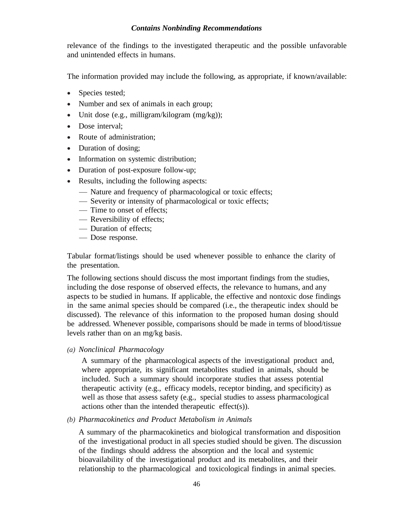relevance of the findings to the investigated therapeutic and the possible unfavorable and unintended effects in humans.

The information provided may include the following, as appropriate, if known/available:

- Species tested;
- Number and sex of animals in each group;
- Unit dose (e.g., milligram/kilogram  $(mg/kg)$ );
- Dose interval:
- Route of administration;
- Duration of dosing;
- Information on systemic distribution;
- Duration of post-exposure follow-up;
- Results, including the following aspects:
	- − Nature and frequency of pharmacological or toxic effects;
	- ← Severity or intensity of pharmacological or toxic effects;
	- − Time to onset of effects;
	- − Reversibility of effects;
	- − Duration of effects;
	- − Dose response.

Tabular format/listings should be used whenever possible to enhance the clarity of the presentation.

The following sections should discuss the most important findings from the studies, including the dose response of observed effects, the relevance to humans, and any aspects to be studied in humans. If applicable, the effective and nontoxic dose findings in the same animal species should be compared (i.e., the therapeutic index should be discussed). The relevance of this information to the proposed human dosing should be addressed. Whenever possible, comparisons should be made in terms of blood/tissue levels rather than on an mg/kg basis.

*(a) Nonclinical Pharmacology*

A summary of the pharmacological aspects of the investigational product and, where appropriate, its significant metabolites studied in animals, should be included. Such a summary should incorporate studies that assess potential therapeutic activity (e.g., efficacy models, receptor binding, and specificity) as well as those that assess safety (e.g., special studies to assess pharmacological actions other than the intended therapeutic effect(s)).

#### *(b) Pharmacokinetics and Product Metabolism in Animals*

A summary of the pharmacokinetics and biological transformation and disposition of the investigational product in all species studied should be given. The discussion of the findings should address the absorption and the local and systemic bioavailability of the investigational product and its metabolites, and their relationship to the pharmacological and toxicological findings in animal species.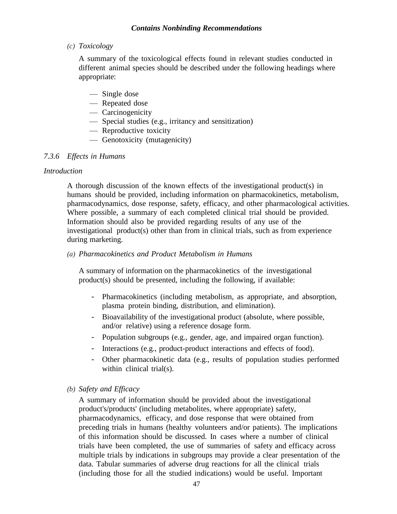*(c) Toxicology*

A summary of the toxicological effects found in relevant studies conducted in different animal species should be described under the following headings where appropriate:

- − Single dose
- − Repeated dose
- − Carcinogenicity
- − Special studies (e.g., irritancy and sensitization)
- ← Reproductive toxicity
- − Genotoxicity (mutagenicity)

#### <span id="page-52-0"></span>*7.3.6 Effects in Humans*

#### *Introduction*

A thorough discussion of the known effects of the investigational product(s) in humans should be provided, including information on pharmacokinetics, metabolism, pharmacodynamics, dose response, safety, efficacy, and other pharmacological activities. Where possible, a summary of each completed clinical trial should be provided. Information should also be provided regarding results of any use of the investigational product(s) other than from in clinical trials, such as from experience during marketing.

#### *(a) Pharmacokinetics and Product Metabolism in Humans*

A summary of information on the pharmacokinetics of the investigational product(s) should be presented, including the following, if available:

- Pharmacokinetics (including metabolism, as appropriate, and absorption, plasma protein binding, distribution, and elimination).
- Bioavailability of the investigational product (absolute, where possible, and/or relative) using a reference dosage form.
- Population subgroups (e.g., gender, age, and impaired organ function).
- Interactions (e.g., product-product interactions and effects of food).
- Other pharmacokinetic data (e.g., results of population studies performed within clinical trial(s).
- *(b) Safety and Efficacy*

A summary of information should be provided about the investigational product's/products' (including metabolites, where appropriate) safety, pharmacodynamics, efficacy, and dose response that were obtained from preceding trials in humans (healthy volunteers and/or patients). The implications of this information should be discussed. In cases where a number of clinical trials have been completed, the use of summaries of safety and efficacy across multiple trials by indications in subgroups may provide a clear presentation of the data. Tabular summaries of adverse drug reactions for all the clinical trials (including those for all the studied indications) would be useful. Important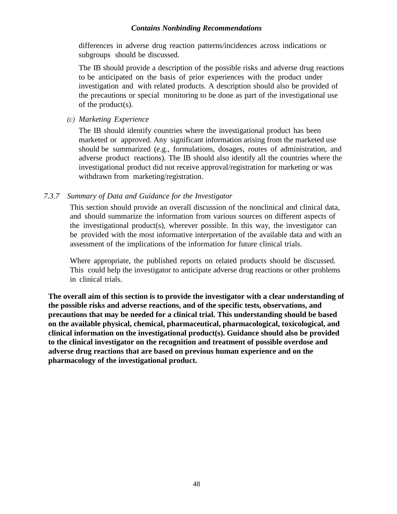differences in adverse drug reaction patterns/incidences across indications or subgroups should be discussed.

The IB should provide a description of the possible risks and adverse drug reactions to be anticipated on the basis of prior experiences with the product under investigation and with related products. A description should also be provided of the precautions or special monitoring to be done as part of the investigational use of the product(s).

*(c) Marketing Experience*

The IB should identify countries where the investigational product has been marketed or approved. Any significant information arising from the marketed use should be summarized (e.g., formulations, dosages, routes of administration, and adverse product reactions). The IB should also identify all the countries where the investigational product did not receive approval/registration for marketing or was withdrawn from marketing/registration.

#### <span id="page-53-0"></span>*7.3.7 Summary of Data and Guidance for the Investigator*

This section should provide an overall discussion of the nonclinical and clinical data, and should summarize the information from various sources on different aspects of the investigational product(s), wherever possible. In this way, the investigator can be provided with the most informative interpretation of the available data and with an assessment of the implications of the information for future clinical trials.

Where appropriate, the published reports on related products should be discussed. This could help the investigator to anticipate adverse drug reactions or other problems in clinical trials.

**The overall aim of this section is to provide the investigator with a clear understanding of the possible risks and adverse reactions, and of the specific tests, observations, and precautions that may be needed for a clinical trial. This understanding should be based on the available physical, chemical, pharmaceutical, pharmacological, toxicological, and clinical information on the investigational product(s). Guidance should also be provided to the clinical investigator on the recognition and treatment of possible overdose and adverse drug reactions that are based on previous human experience and on the pharmacology of the investigational product.**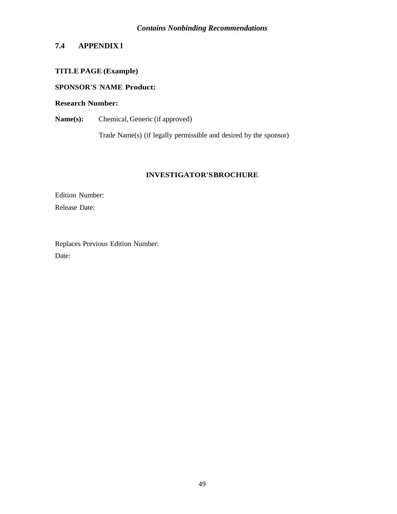#### <span id="page-54-0"></span>**7.4 APPENDIX l**

#### **TITLE PAGE (Example)**

#### **SPONSOR'S NAME Product:**

#### **Research Number:**

Name(s): Chemical, Generic (if approved)

Trade Name(s) (if legally permissible and desired by the sponsor)

#### **INVESTIGATOR'SBROCHURE**

Edition Number: Release Date:

Replaces Previous Edition Number: Date: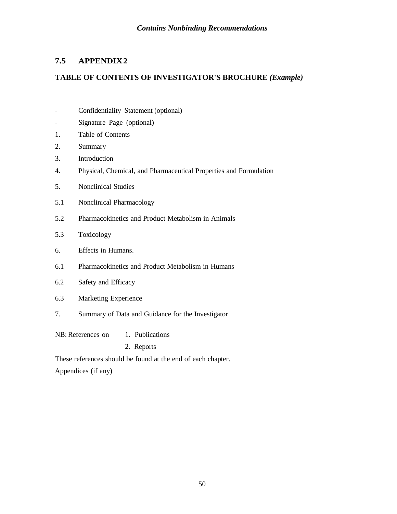#### <span id="page-55-0"></span>**7.5 APPENDIX2**

#### **TABLE OF CONTENTS OF INVESTIGATOR'S BROCHURE** *(Example)*

- Confidentiality Statement (optional)
- Signature Page (optional)
- 1. Table of Contents
- 2. Summary
- 3. Introduction
- 4. Physical, Chemical, and Pharmaceutical Properties and Formulation
- 5. Nonclinical Studies
- 5.1 Nonclinical Pharmacology
- 5.2 Pharmacokinetics and Product Metabolism in Animals
- 5.3 Toxicology
- 6. Effects in Humans.
- 6.1 Pharmacokinetics and Product Metabolism in Humans
- 6.2 Safety and Efficacy
- 6.3 Marketing Experience
- 7. Summary of Data and Guidance for the Investigator
- NB: References on 1. Publications
	- 2. Reports

These references should be found at the end of each chapter.

Appendices (if any)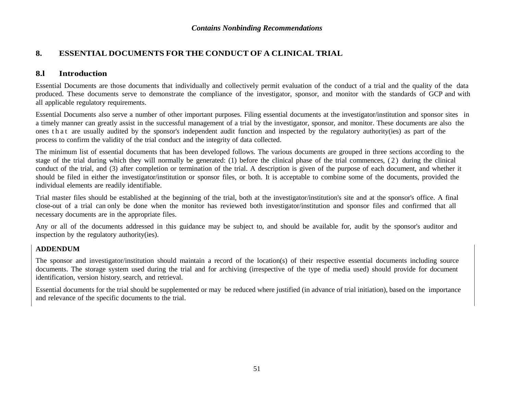## **8. ESSENTIAL DOCUMENTS FOR THE CONDUCT OF A CLINICAL TRIAL**

#### **8.l Introduction**

Essential Documents are those documents that individually and collectively permit evaluation of the conduct of a trial and the quality of the data produced. These documents serve to demonstrate the compliance of the investigator, sponsor, and monitor with the standards of GCP and with all applicable regulatory requirements.

Essential Documents also serve a number of other important purposes. Filing essential documents at the investigator/institution and sponsor sites in a timely manner can greatly assist in the successful management of a trial by the investigator, sponsor, and monitor. These documents are also the ones that are usually audited by the sponsor's independent audit function and inspected by the regulatory authority(ies) as part of the process to confirm the validity of the trial conduct and the integrity of data collected.

<span id="page-56-0"></span>The minimum list of essential documents that has been developed follows. The various documents are grouped in three sections according to the stage of the trial during which they will normally be generated: (1) before the clinical phase of the trial commences, (2) during the clinical conduct of the trial, and (3) after completion or termination of the trial. A description is given of the purpose of each document, and whether it should be filed in either the investigator/institution or sponsor files, or both. It is acceptable to combine some of the documents, provided the individual elements are readily identifiable.

<span id="page-56-1"></span>Trial master files should be established at the beginning of the trial, both at the investigator/institution's site and at the sponsor's office. A final close-out of a trial can only be done when the monitor has reviewed both investigator/institution and sponsor files and confirmed that all necessary documents are in the appropriate files.

Any or all of the documents addressed in this guidance may be subject to, and should be available for, audit by the sponsor's auditor and inspection by the regulatory authority(ies).

## **ADDENDUM**

The sponsor and investigator/institution should maintain a record of the location(s) of their respective essential documents including source documents. The storage system used during the trial and for archiving (irrespective of the type of media used) should provide for document identification, version history, search, and retrieval.

Essential documents for the trial should be supplemented or may be reduced where justified (in advance of trial initiation), based on the importance and relevance of the specific documents to the trial.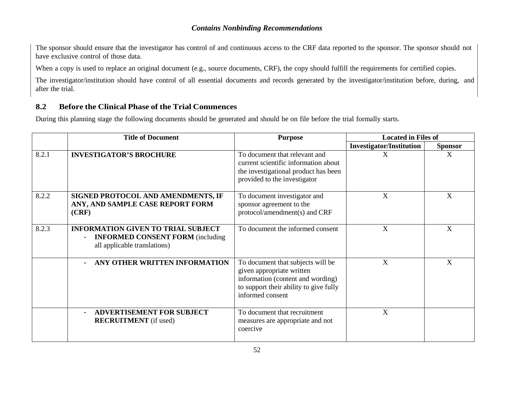The sponsor should ensure that the investigator has control of and continuous access to the CRF data reported to the sponsor. The sponsor should not have exclusive control of those data.

When a copy is used to replace an original document (e.g., source documents, CRF), the copy should fulfill the requirements for certified copies.

The investigator/institution should have control of all essential documents and records generated by the investigator/institution before, during, and after the trial.

## **8.2 Before the Clinical Phase of the Trial Commences**

During this planning stage the following documents should be generated and should be on file before the trial formally starts.

<span id="page-57-0"></span>

|       | <b>Title of Document</b>                                                                                             | <b>Purpose</b>                                                                                                                                                    | <b>Located in Files of</b>      |                |
|-------|----------------------------------------------------------------------------------------------------------------------|-------------------------------------------------------------------------------------------------------------------------------------------------------------------|---------------------------------|----------------|
|       |                                                                                                                      |                                                                                                                                                                   | <b>Investigator/Institution</b> | <b>Sponsor</b> |
| 8.2.1 | <b>INVESTIGATOR'S BROCHURE</b>                                                                                       | To document that relevant and<br>current scientific information about<br>the investigational product has been<br>provided to the investigator                     | X                               | X              |
| 8.2.2 | SIGNED PROTOCOL AND AMENDMENTS, IF<br>ANY, AND SAMPLE CASE REPORT FORM<br>(CRF)                                      | To document investigator and<br>sponsor agreement to the<br>protocol/amendment(s) and CRF                                                                         | X                               | X              |
| 8.2.3 | <b>INFORMATION GIVEN TO TRIAL SUBJECT</b><br><b>INFORMED CONSENT FORM (including</b><br>all applicable translations) | To document the informed consent                                                                                                                                  | X                               | X              |
|       | ANY OTHER WRITTEN INFORMATION                                                                                        | To document that subjects will be<br>given appropriate written<br>information (content and wording)<br>to support their ability to give fully<br>informed consent | X                               | X              |
|       | <b>ADVERTISEMENT FOR SUBJECT</b><br><b>RECRUITMENT</b> (if used)                                                     | To document that recruitment<br>measures are appropriate and not<br>coercive                                                                                      | X                               |                |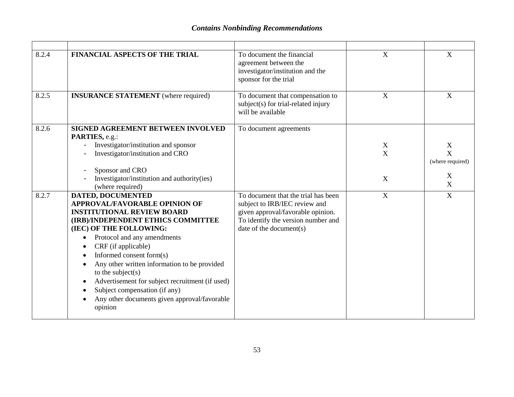| 8.2.4 | FINANCIAL ASPECTS OF THE TRIAL                                                                                                                                                                                                                                                                                                                                                                                                                                                                                                                             | To document the financial<br>agreement between the<br>investigator/institution and the<br>sponsor for the trial                                                            | X                         | X                               |
|-------|------------------------------------------------------------------------------------------------------------------------------------------------------------------------------------------------------------------------------------------------------------------------------------------------------------------------------------------------------------------------------------------------------------------------------------------------------------------------------------------------------------------------------------------------------------|----------------------------------------------------------------------------------------------------------------------------------------------------------------------------|---------------------------|---------------------------------|
| 8.2.5 | <b>INSURANCE STATEMENT</b> (where required)                                                                                                                                                                                                                                                                                                                                                                                                                                                                                                                | To document that compensation to<br>subject(s) for trial-related injury<br>will be available                                                                               | X                         | X                               |
| 8.2.6 | SIGNED AGREEMENT BETWEEN INVOLVED<br>PARTIES, e.g.:<br>Investigator/institution and sponsor                                                                                                                                                                                                                                                                                                                                                                                                                                                                | To document agreements                                                                                                                                                     | $\mathbf X$               | $\mathbf X$                     |
|       | Investigator/institution and CRO<br>Sponsor and CRO                                                                                                                                                                                                                                                                                                                                                                                                                                                                                                        |                                                                                                                                                                            | $\boldsymbol{\mathrm{X}}$ | $\mathbf X$<br>(where required) |
|       | Investigator/institution and authority(ies)<br>(where required)                                                                                                                                                                                                                                                                                                                                                                                                                                                                                            |                                                                                                                                                                            | X                         | X<br>X                          |
| 8.2.7 | <b>DATED, DOCUMENTED</b><br><b>APPROVAL/FAVORABLE OPINION OF</b><br><b>INSTITUTIONAL REVIEW BOARD</b><br>(IRB)/INDEPENDENT ETHICS COMMITTEE<br>(IEC) OF THE FOLLOWING:<br>Protocol and any amendments<br>$\bullet$<br>CRF (if applicable)<br>$\bullet$<br>Informed consent form(s)<br>$\bullet$<br>Any other written information to be provided<br>to the subject(s)<br>Advertisement for subject recruitment (if used)<br>$\bullet$<br>Subject compensation (if any)<br>$\bullet$<br>Any other documents given approval/favorable<br>$\bullet$<br>opinion | To document that the trial has been<br>subject to IRB/IEC review and<br>given approval/favorable opinion.<br>To identify the version number and<br>date of the document(s) | X                         | X                               |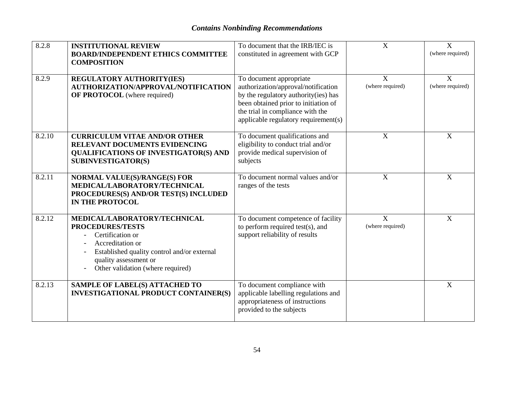| 8.2.8  | <b>INSTITUTIONAL REVIEW</b><br><b>BOARD/INDEPENDENT ETHICS COMMITTEE</b><br><b>COMPOSITION</b>                                                                                                               | To document that the IRB/IEC is<br>constituted in agreement with GCP                                                                                                                                                       | $\boldsymbol{X}$                     | X<br>(where required)           |
|--------|--------------------------------------------------------------------------------------------------------------------------------------------------------------------------------------------------------------|----------------------------------------------------------------------------------------------------------------------------------------------------------------------------------------------------------------------------|--------------------------------------|---------------------------------|
| 8.2.9  | <b>REGULATORY AUTHORITY(IES)</b><br>AUTHORIZATION/APPROVAL/NOTIFICATION<br><b>OF PROTOCOL</b> (where required)                                                                                               | To document appropriate<br>authorization/approval/notification<br>by the regulatory authority(ies) has<br>been obtained prior to initiation of<br>the trial in compliance with the<br>applicable regulatory requirement(s) | $\boldsymbol{X}$<br>(where required) | $\mathbf X$<br>(where required) |
| 8.2.10 | <b>CURRICULUM VITAE AND/OR OTHER</b><br>RELEVANT DOCUMENTS EVIDENCING<br><b>QUALIFICATIONS OF INVESTIGATOR(S) AND</b><br><b>SUBINVESTIGATOR(S)</b>                                                           | To document qualifications and<br>eligibility to conduct trial and/or<br>provide medical supervision of<br>subjects                                                                                                        | X                                    | X                               |
| 8.2.11 | <b>NORMAL VALUE(S)/RANGE(S) FOR</b><br>MEDICAL/LABORATORY/TECHNICAL<br>PROCEDURES(S) AND/OR TEST(S) INCLUDED<br><b>IN THE PROTOCOL</b>                                                                       | To document normal values and/or<br>ranges of the tests                                                                                                                                                                    | X                                    | X                               |
| 8.2.12 | MEDICAL/LABORATORY/TECHNICAL<br><b>PROCEDURES/TESTS</b><br>Certification or<br>Accreditation or<br>Established quality control and/or external<br>quality assessment or<br>Other validation (where required) | To document competence of facility<br>to perform required test(s), and<br>support reliability of results                                                                                                                   | X<br>(where required)                | X                               |
| 8.2.13 | SAMPLE OF LABEL(S) ATTACHED TO<br><b>INVESTIGATIONAL PRODUCT CONTAINER(S)</b>                                                                                                                                | To document compliance with<br>applicable labelling regulations and<br>appropriateness of instructions<br>provided to the subjects                                                                                         |                                      | $\mathbf X$                     |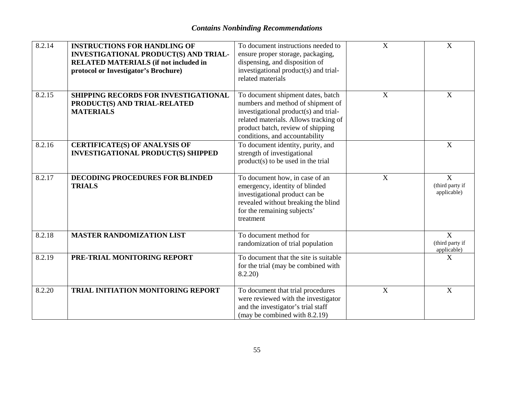| 8.2.14 | <b>INSTRUCTIONS FOR HANDLING OF</b><br><b>INVESTIGATIONAL PRODUCT(S) AND TRIAL-</b><br><b>RELATED MATERIALS (if not included in</b><br>protocol or Investigator's Brochure) | To document instructions needed to<br>ensure proper storage, packaging,<br>dispensing, and disposition of<br>investigational product(s) and trial-<br>related materials                                                         | $\mathbf X$ | $\mathbf X$                         |
|--------|-----------------------------------------------------------------------------------------------------------------------------------------------------------------------------|---------------------------------------------------------------------------------------------------------------------------------------------------------------------------------------------------------------------------------|-------------|-------------------------------------|
| 8.2.15 | SHIPPING RECORDS FOR INVESTIGATIONAL<br>PRODUCT(S) AND TRIAL-RELATED<br><b>MATERIALS</b>                                                                                    | To document shipment dates, batch<br>numbers and method of shipment of<br>investigational product(s) and trial-<br>related materials. Allows tracking of<br>product batch, review of shipping<br>conditions, and accountability | X           | $\mathbf X$                         |
| 8.2.16 | <b>CERTIFICATE(S) OF ANALYSIS OF</b><br><b>INVESTIGATIONAL PRODUCT(S) SHIPPED</b>                                                                                           | To document identity, purity, and<br>strength of investigational<br>product(s) to be used in the trial                                                                                                                          |             | $\mathbf X$                         |
| 8.2.17 | DECODING PROCEDURES FOR BLINDED<br><b>TRIALS</b>                                                                                                                            | To document how, in case of an<br>emergency, identity of blinded<br>investigational product can be<br>revealed without breaking the blind<br>for the remaining subjects'<br>treatment                                           | X           | X<br>(third party if<br>applicable) |
| 8.2.18 | <b>MASTER RANDOMIZATION LIST</b>                                                                                                                                            | To document method for<br>randomization of trial population                                                                                                                                                                     |             | X<br>(third party if<br>applicable) |
| 8.2.19 | PRE-TRIAL MONITORING REPORT                                                                                                                                                 | To document that the site is suitable<br>for the trial (may be combined with<br>8.2.20                                                                                                                                          |             | X                                   |
| 8.2.20 | TRIAL INITIATION MONITORING REPORT                                                                                                                                          | To document that trial procedures<br>were reviewed with the investigator<br>and the investigator's trial staff<br>(may be combined with 8.2.19)                                                                                 | X           | X                                   |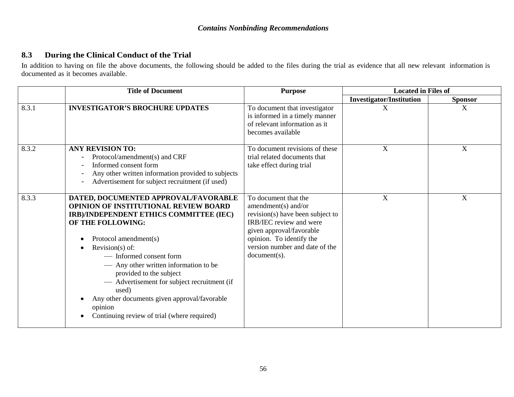#### **8.3 During the Clinical Conduct of the Trial**

In addition to having on file the above documents, the following should be added to the files during the trial as evidence that all new relevant information is documented as it becomes available.

<span id="page-61-0"></span>

|       | <b>Title of Document</b>                                                                                                                                                                                                                                                                                                                                                                                                                                       | <b>Purpose</b>                                                                                                                                                                                                         | <b>Located in Files of</b>      |                |
|-------|----------------------------------------------------------------------------------------------------------------------------------------------------------------------------------------------------------------------------------------------------------------------------------------------------------------------------------------------------------------------------------------------------------------------------------------------------------------|------------------------------------------------------------------------------------------------------------------------------------------------------------------------------------------------------------------------|---------------------------------|----------------|
|       |                                                                                                                                                                                                                                                                                                                                                                                                                                                                |                                                                                                                                                                                                                        | <b>Investigator/Institution</b> | <b>Sponsor</b> |
| 8.3.1 | <b>INVESTIGATOR'S BROCHURE UPDATES</b>                                                                                                                                                                                                                                                                                                                                                                                                                         | To document that investigator<br>is informed in a timely manner<br>of relevant information as it<br>becomes available                                                                                                  |                                 | $\overline{X}$ |
| 8.3.2 | <b>ANY REVISION TO:</b><br>Protocol/amendment(s) and CRF<br>Informed consent form<br>Any other written information provided to subjects<br>Advertisement for subject recruitment (if used)                                                                                                                                                                                                                                                                     | To document revisions of these<br>trial related documents that<br>take effect during trial                                                                                                                             | X                               | X              |
| 8.3.3 | DATED, DOCUMENTED APPROVAL/FAVORABLE<br>OPINION OF INSTITUTIONAL REVIEW BOARD<br>IRB)/INDEPENDENT ETHICS COMMITTEE (IEC)<br>OF THE FOLLOWING:<br>Protocol amendment(s)<br>Revision( $s$ ) of:<br>- Informed consent form<br>- Any other written information to be<br>provided to the subject<br>- Advertisement for subject recruitment (if<br>used)<br>Any other documents given approval/favorable<br>opinion<br>Continuing review of trial (where required) | To document that the<br>$amendment(s)$ and/or<br>revision(s) have been subject to<br>IRB/IEC review and were<br>given approval/favorable<br>opinion. To identify the<br>version number and date of the<br>document(s). | X                               | X              |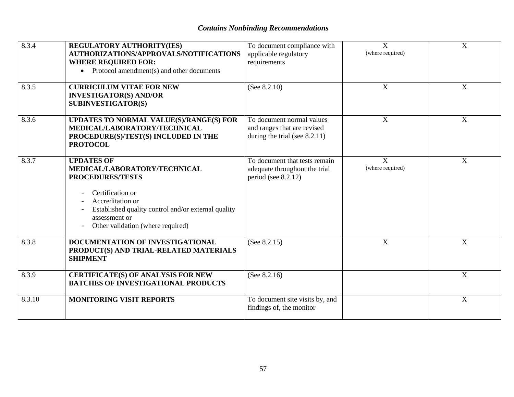| 8.3.4  | <b>REGULATORY AUTHORITY(IES)</b><br>AUTHORIZATIONS/APPROVALS/NOTIFICATIONS<br><b>WHERE REQUIRED FOR:</b><br>$\bullet$ Protocol amendment(s) and other documents                                                            | To document compliance with<br>applicable regulatory<br>requirements                         | $\overline{X}$<br>(where required) | $\overline{X}$ |
|--------|----------------------------------------------------------------------------------------------------------------------------------------------------------------------------------------------------------------------------|----------------------------------------------------------------------------------------------|------------------------------------|----------------|
| 8.3.5  | <b>CURRICULUM VITAE FOR NEW</b><br><b>INVESTIGATOR(S) AND/OR</b><br><b>SUBINVESTIGATOR(S)</b>                                                                                                                              | (See $8.2.10$ )                                                                              | X                                  | X              |
| 8.3.6  | <b>UPDATES TO NORMAL VALUE(S)/RANGE(S) FOR</b><br>MEDICAL/LABORATORY/TECHNICAL<br>PROCEDURE(S)/TEST(S) INCLUDED IN THE<br><b>PROTOCOL</b>                                                                                  | To document normal values<br>and ranges that are revised<br>during the trial (see $8.2.11$ ) | X                                  | $\mathbf{X}$   |
| 8.3.7  | <b>UPDATES OF</b><br>MEDICAL/LABORATORY/TECHNICAL<br>PROCEDURES/TESTS<br>Certification or<br>Accreditation or<br>Established quality control and/or external quality<br>assessment or<br>Other validation (where required) | To document that tests remain<br>adequate throughout the trial<br>period (see $8.2.12$ )     | X<br>(where required)              | X              |
| 8.3.8  | <b>DOCUMENTATION OF INVESTIGATIONAL</b><br>PRODUCT(S) AND TRIAL-RELATED MATERIALS<br><b>SHIPMENT</b>                                                                                                                       | (See $8.2.15$ )                                                                              | $\overline{X}$                     | $\overline{X}$ |
| 8.3.9  | <b>CERTIFICATE(S) OF ANALYSIS FOR NEW</b><br><b>BATCHES OF INVESTIGATIONAL PRODUCTS</b>                                                                                                                                    | (See $8.2.16$ )                                                                              |                                    | $\overline{X}$ |
| 8.3.10 | <b>MONITORING VISIT REPORTS</b>                                                                                                                                                                                            | To document site visits by, and<br>findings of, the monitor                                  |                                    | $\mathbf X$    |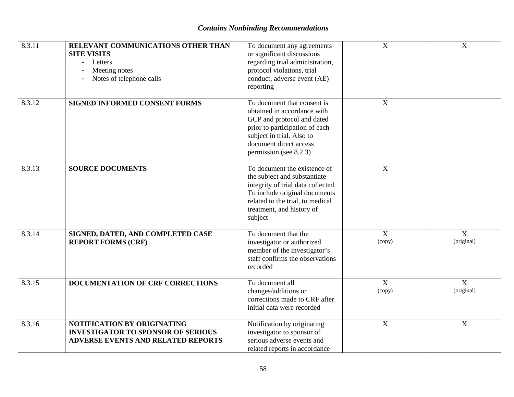| 8.3.11 | RELEVANT COMMUNICATIONS OTHER THAN<br><b>SITE VISITS</b><br>Letters<br>Meeting notes<br>Notes of telephone calls      | To document any agreements<br>or significant discussions<br>regarding trial administration,<br>protocol violations, trial<br>conduct, adverse event (AE)<br>reporting                                           | $\overline{X}$           | $\overline{X}$                 |
|--------|-----------------------------------------------------------------------------------------------------------------------|-----------------------------------------------------------------------------------------------------------------------------------------------------------------------------------------------------------------|--------------------------|--------------------------------|
| 8.3.12 | <b>SIGNED INFORMED CONSENT FORMS</b>                                                                                  | To document that consent is<br>obtained in accordance with<br>GCP and protocol and dated<br>prior to participation of each<br>subject in trial. Also to<br>document direct access<br>permission (see 8.2.3)     | $\overline{X}$           |                                |
| 8.3.13 | <b>SOURCE DOCUMENTS</b>                                                                                               | To document the existence of<br>the subject and substantiate<br>integrity of trial data collected.<br>To include original documents<br>related to the trial, to medical<br>treatment, and history of<br>subject | $\overline{X}$           |                                |
| 8.3.14 | SIGNED, DATED, AND COMPLETED CASE<br><b>REPORT FORMS (CRF)</b>                                                        | To document that the<br>investigator or authorized<br>member of the investigator's<br>staff confirms the observations<br>recorded                                                                               | X<br>(copy)              | $\boldsymbol{X}$<br>(original) |
| 8.3.15 | DOCUMENTATION OF CRF CORRECTIONS                                                                                      | To document all<br>changes/additions or<br>corrections made to CRF after<br>initial data were recorded                                                                                                          | $\overline{X}$<br>(copy) | $\overline{X}$<br>(original)   |
| 8.3.16 | NOTIFICATION BY ORIGINATING<br><b>INVESTIGATOR TO SPONSOR OF SERIOUS</b><br><b>ADVERSE EVENTS AND RELATED REPORTS</b> | Notification by originating<br>investigator to sponsor of<br>serious adverse events and<br>related reports in accordance                                                                                        | $\overline{X}$           | $\mathbf X$                    |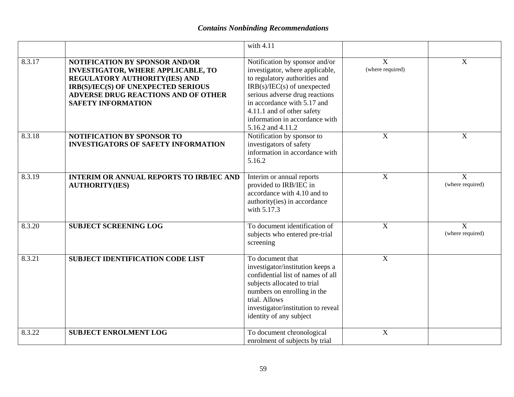|        |                                                                                                                                                                                                                                | with 4.11                                                                                                                                                                                                                                                                                 |                       |                           |
|--------|--------------------------------------------------------------------------------------------------------------------------------------------------------------------------------------------------------------------------------|-------------------------------------------------------------------------------------------------------------------------------------------------------------------------------------------------------------------------------------------------------------------------------------------|-----------------------|---------------------------|
| 8.3.17 | NOTIFICATION BY SPONSOR AND/OR<br><b>INVESTIGATOR, WHERE APPLICABLE, TO</b><br>REGULATORY AUTHORITY(IES) AND<br>IRB(S)/IEC(S) OF UNEXPECTED SERIOUS<br><b>ADVERSE DRUG REACTIONS AND OF OTHER</b><br><b>SAFETY INFORMATION</b> | Notification by sponsor and/or<br>investigator, where applicable,<br>to regulatory authorities and<br>$IRB(s)/IEC(s)$ of unexpected<br>serious adverse drug reactions<br>in accordance with 5.17 and<br>4.11.1 and of other safety<br>information in accordance with<br>5.16.2 and 4.11.2 | X<br>(where required) | $\boldsymbol{\mathrm{X}}$ |
| 8.3.18 | <b>NOTIFICATION BY SPONSOR TO</b><br><b>INVESTIGATORS OF SAFETY INFORMATION</b>                                                                                                                                                | Notification by sponsor to<br>investigators of safety<br>information in accordance with<br>5.16.2                                                                                                                                                                                         | $\mathbf X$           | $\boldsymbol{\mathrm{X}}$ |
| 8.3.19 | <b>INTERIM OR ANNUAL REPORTS TO IRB/IEC AND</b><br><b>AUTHORITY(IES)</b>                                                                                                                                                       | Interim or annual reports<br>provided to IRB/IEC in<br>accordance with 4.10 and to<br>authority(ies) in accordance<br>with 5.17.3                                                                                                                                                         | $\boldsymbol{X}$      | X<br>(where required)     |
| 8.3.20 | <b>SUBJECT SCREENING LOG</b>                                                                                                                                                                                                   | To document identification of<br>subjects who entered pre-trial<br>screening                                                                                                                                                                                                              | X                     | X<br>(where required)     |
| 8.3.21 | <b>SUBJECT IDENTIFICATION CODE LIST</b>                                                                                                                                                                                        | To document that<br>investigator/institution keeps a<br>confidential list of names of all<br>subjects allocated to trial<br>numbers on enrolling in the<br>trial. Allows<br>investigator/institution to reveal<br>identity of any subject                                                 | $\overline{X}$        |                           |
| 8.3.22 | <b>SUBJECT ENROLMENT LOG</b>                                                                                                                                                                                                   | To document chronological<br>enrolment of subjects by trial                                                                                                                                                                                                                               | $\boldsymbol{X}$      |                           |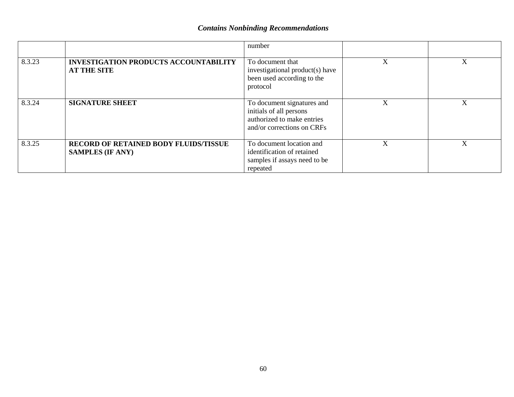|        |                                                                         | number                                                                                                            |   |   |
|--------|-------------------------------------------------------------------------|-------------------------------------------------------------------------------------------------------------------|---|---|
| 8.3.23 | <b>INVESTIGATION PRODUCTS ACCOUNTABILITY</b><br><b>AT THE SITE</b>      | To document that<br>investigational product(s) have<br>been used according to the<br>protocol                     | X | X |
| 8.3.24 | <b>SIGNATURE SHEET</b>                                                  | To document signatures and<br>initials of all persons<br>authorized to make entries<br>and/or corrections on CRFs | X | X |
| 8.3.25 | <b>RECORD OF RETAINED BODY FLUIDS/TISSUE</b><br><b>SAMPLES (IF ANY)</b> | To document location and<br>identification of retained<br>samples if assays need to be<br>repeated                | X | X |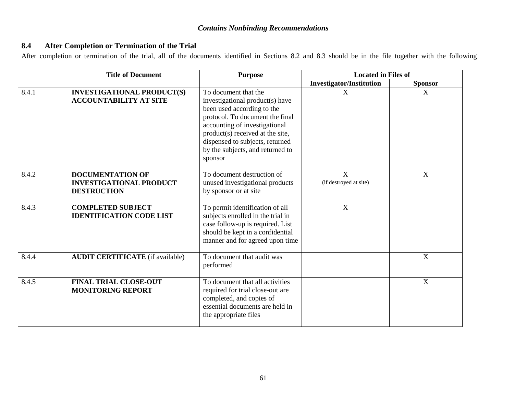#### **8.4 After Completion or Termination of the Trial**

After completion or termination of the trial, all of the documents identified in Sections 8.2 and 8.3 should be in the file together with the following

<span id="page-66-0"></span>

|       | <b>Title of Document</b>                                                        | <b>Purpose</b>                                                                                                                                                                                                                                                                  | <b>Located in Files of</b>             |                |
|-------|---------------------------------------------------------------------------------|---------------------------------------------------------------------------------------------------------------------------------------------------------------------------------------------------------------------------------------------------------------------------------|----------------------------------------|----------------|
|       |                                                                                 |                                                                                                                                                                                                                                                                                 | <b>Investigator/Institution</b>        | <b>Sponsor</b> |
| 8.4.1 | <b>INVESTIGATIONAL PRODUCT(S)</b><br><b>ACCOUNTABILITY AT SITE</b>              | To document that the<br>investigational product(s) have<br>been used according to the<br>protocol. To document the final<br>accounting of investigational<br>product(s) received at the site,<br>dispensed to subjects, returned<br>by the subjects, and returned to<br>sponsor | X                                      | X              |
| 8.4.2 | <b>DOCUMENTATION OF</b><br><b>INVESTIGATIONAL PRODUCT</b><br><b>DESTRUCTION</b> | To document destruction of<br>unused investigational products<br>by sponsor or at site                                                                                                                                                                                          | $\mathbf{X}$<br>(if destroyed at site) | X              |
| 8.4.3 | <b>COMPLETED SUBJECT</b><br><b>IDENTIFICATION CODE LIST</b>                     | To permit identification of all<br>subjects enrolled in the trial in<br>case follow-up is required. List<br>should be kept in a confidential<br>manner and for agreed upon time                                                                                                 | $\mathbf X$                            |                |
| 8.4.4 | <b>AUDIT CERTIFICATE</b> (if available)                                         | To document that audit was<br>performed                                                                                                                                                                                                                                         |                                        | X              |
| 8.4.5 | <b>FINAL TRIAL CLOSE-OUT</b><br><b>MONITORING REPORT</b>                        | To document that all activities<br>required for trial close-out are<br>completed, and copies of<br>essential documents are held in<br>the appropriate files                                                                                                                     |                                        | $\overline{X}$ |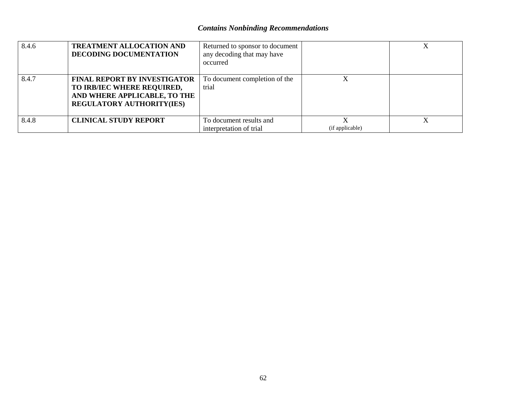| 8.4.6 | <b>TREATMENT ALLOCATION AND</b><br><b>DECODING DOCUMENTATION</b>                                                                      | Returned to sponsor to document<br>any decoding that may have<br>occurred |                 | Х |
|-------|---------------------------------------------------------------------------------------------------------------------------------------|---------------------------------------------------------------------------|-----------------|---|
| 8.4.7 | <b>FINAL REPORT BY INVESTIGATOR</b><br>TO IRB/IEC WHERE REQUIRED,<br>AND WHERE APPLICABLE, TO THE<br><b>REGULATORY AUTHORITY(IES)</b> | To document completion of the<br>trial                                    |                 |   |
| 8.4.8 | <b>CLINICAL STUDY REPORT</b>                                                                                                          | To document results and<br>interpretation of trial                        | (if applicable) |   |